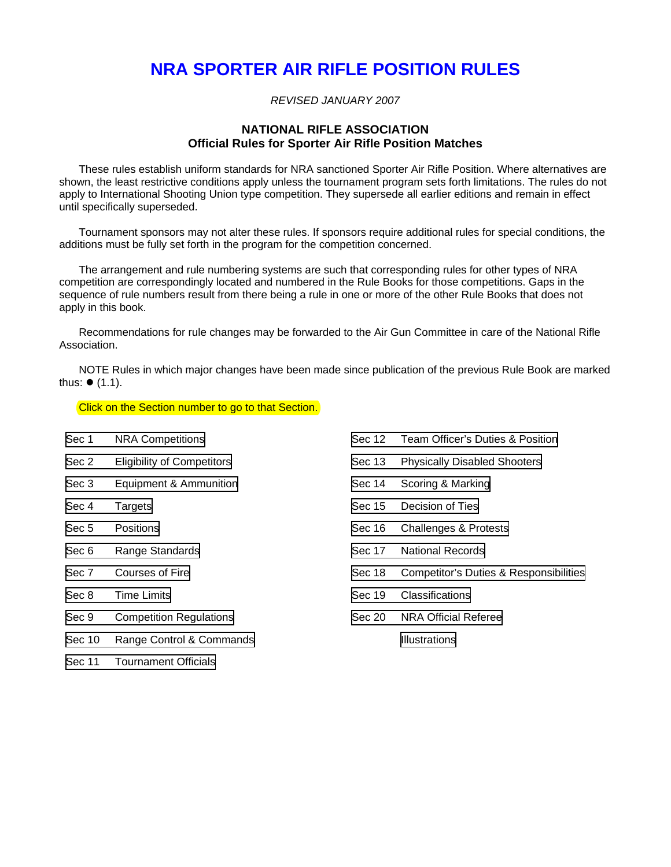# **NRA SPORTER AIR RIFLE POSITION RULES**

#### *REVISED JANUARY 2007*

# **NATIONAL RIFLE ASSOCIATION Official Rules for Sporter Air Rifle Position Matches**

These rules establish uniform standards for NRA sanctioned Sporter Air Rifle Position. Where alternatives are shown, the least restrictive conditions apply unless the tournament program sets forth limitations. The rules do not apply to International Shooting Union type competition. They supersede all earlier editions and remain in effect until specifically superseded.

Tournament sponsors may not alter these rules. If sponsors require additional rules for special conditions, the additions must be fully set forth in the program for the competition concerned.

The arrangement and rule numbering systems are such that corresponding rules for other types of NRA competition are correspondingly located and numbered in the Rule Books for those competitions. Gaps in the sequence of rule numbers result from there being a rule in one or more of the other Rule Books that does not apply in this book.

Recommendations for rule changes may be forwarded to the Air Gun Committee in care of the National Rifle Association.

NOTE Rules in which major changes have been made since publication of the previous Rule Book are marked thus:  $\bullet$  (1.1).

Click on the Section number to go to that Section.

- 
- 
- Sec 3 [Equipment & Ammunition](#page-7-0) Sec 14 [Scoring & Marking](#page-29-0)
- 
- 
- Sec 6 [Range Standards](#page-12-0) Sec 17 [National Records](#page-34-0)
- 
- 
- Sec 9 [Competition Regulations](#page-16-0) Sec 20 [NRA Official Referee](#page-40-0)
- Sec 10 [Range Control & Commands](#page-20-0) **Illustrations** Illustrations
- Sec 11 [Tournament Officials](#page-23-0)
- Sec 1 [NRA Competitions](#page-1-0) Sec 12 [Team Officer's Duties & Position](#page-27-0)
- Sec 2 [Eligibility of Competitors](#page-4-0) Sec 13 [Physically Disabled Shooters](#page-28-0)
	-
- Sec 4 [Targets](#page-10-0) Sec 15 [Decision of Ties](#page-31-0)
- Sec 5 [Positions](#page-11-0) **Sec 16 [Challenges & Protests](#page-32-0)** Sec 16 Challenges & Protests
	-
- Sec 7 [Courses of Fire](#page-13-0) Sec 18 [Competitor's Duties & Responsibilities](#page-35-0) & Responsibilities
- Sec 8 [Time Limits](#page-15-0) **Sec 19 [Classifications](#page-37-0)** Sec 19 Classifications
	- -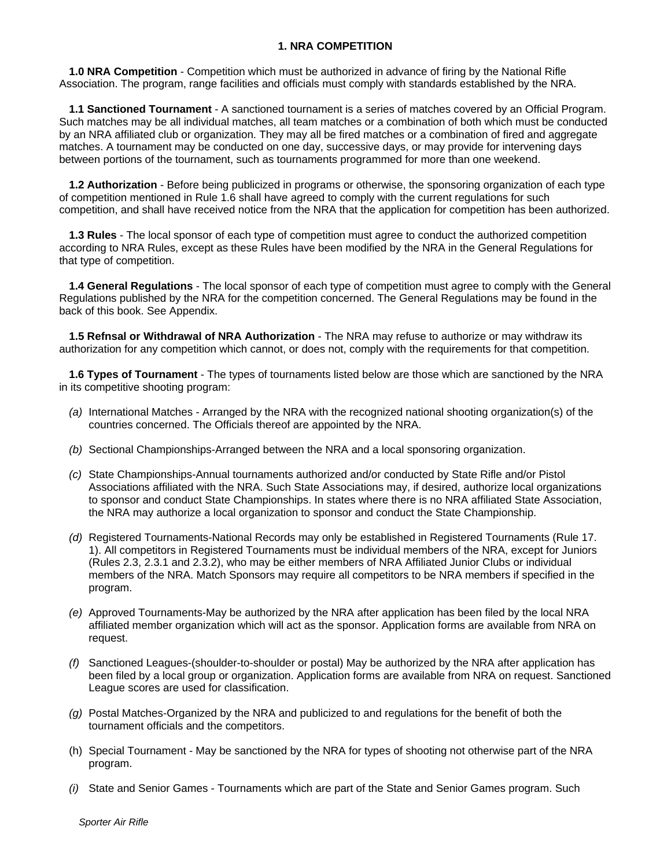## **1. NRA COMPETITION**

<span id="page-1-0"></span>**1.0 NRA Competition** - Competition which must be authorized in advance of firing by the National Rifle Association. The program, range facilities and officials must comply with standards established by the NRA.

**1.1 Sanctioned Tournament** - A sanctioned tournament is a series of matches covered by an Official Program. Such matches may be all individual matches, all team matches or a combination of both which must be conducted by an NRA affiliated club or organization. They may all be fired matches or a combination of fired and aggregate matches. A tournament may be conducted on one day, successive days, or may provide for intervening days between portions of the tournament, such as tournaments programmed for more than one weekend.

**1.2 Authorization** - Before being publicized in programs or otherwise, the sponsoring organization of each type of competition mentioned in Rule 1.6 shall have agreed to comply with the current regulations for such competition, and shall have received notice from the NRA that the application for competition has been authorized.

**1.3 Rules** - The local sponsor of each type of competition must agree to conduct the authorized competition according to NRA Rules, except as these Rules have been modified by the NRA in the General Regulations for that type of competition.

**1.4 General Regulations** - The local sponsor of each type of competition must agree to comply with the General Regulations published by the NRA for the competition concerned. The General Regulations may be found in the back of this book. See Appendix.

**1.5 Refnsal or Withdrawal of NRA Authorization** - The NRA may refuse to authorize or may withdraw its authorization for any competition which cannot, or does not, comply with the requirements for that competition.

**1.6 Types of Tournament** - The types of tournaments listed below are those which are sanctioned by the NRA in its competitive shooting program:

- *(a)* International Matches Arranged by the NRA with the recognized national shooting organization(s) of the countries concerned. The Officials thereof are appointed by the NRA.
- *(b)* Sectional Championships-Arranged between the NRA and a local sponsoring organization.
- *(c)* State Championships-Annual tournaments authorized and/or conducted by State Rifle and/or Pistol Associations affiliated with the NRA. Such State Associations may, if desired, authorize local organizations to sponsor and conduct State Championships. In states where there is no NRA affiliated State Association, the NRA may authorize a local organization to sponsor and conduct the State Championship.
- *(d)* Registered Tournaments-National Records may only be established in Registered Tournaments (Rule 17. 1). All competitors in Registered Tournaments must be individual members of the NRA, except for Juniors (Rules 2.3, 2.3.1 and 2.3.2), who may be either members of NRA Affiliated Junior Clubs or individual members of the NRA. Match Sponsors may require all competitors to be NRA members if specified in the program.
- *(e)* Approved Tournaments-May be authorized by the NRA after application has been filed by the local NRA affiliated member organization which will act as the sponsor. Application forms are available from NRA on request.
- *(f)* Sanctioned Leagues-(shoulder-to-shoulder or postal) May be authorized by the NRA after application has been filed by a local group or organization. Application forms are available from NRA on request. Sanctioned League scores are used for classification.
- *(g)* Postal Matches-Organized by the NRA and publicized to and regulations for the benefit of both the tournament officials and the competitors.
- (h) Special Tournament May be sanctioned by the NRA for types of shooting not otherwise part of the NRA program.
- *(i)* State and Senior Games Tournaments which are part of the State and Senior Games program. Such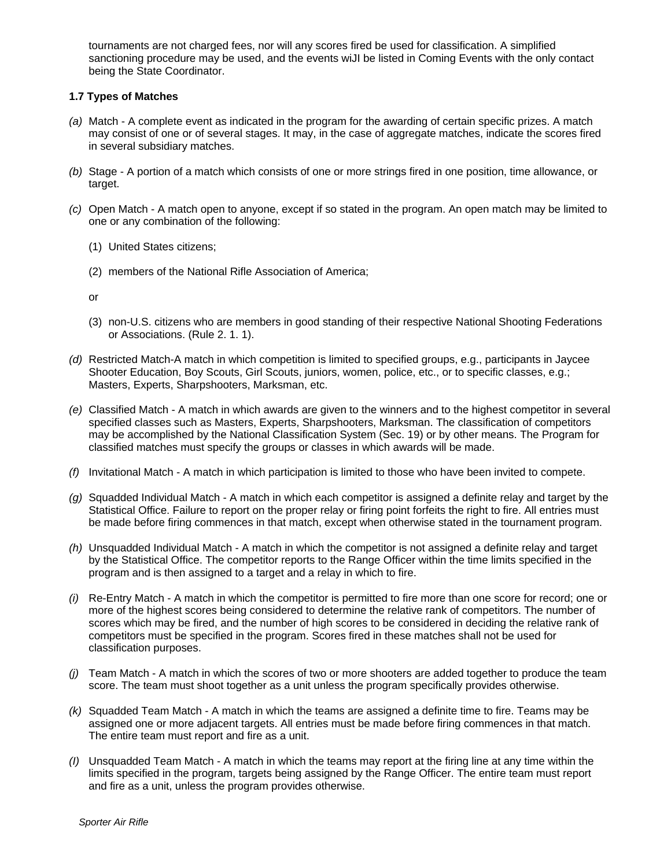tournaments are not charged fees, nor will any scores fired be used for classification. A simplified sanctioning procedure may be used, and the events wiJI be listed in Coming Events with the only contact being the State Coordinator.

# **1.7 Types of Matches**

- *(a)* Match A complete event as indicated in the program for the awarding of certain specific prizes. A match may consist of one or of several stages. It may, in the case of aggregate matches, indicate the scores fired in several subsidiary matches.
- *(b)* Stage A portion of a match which consists of one or more strings fired in one position, time allowance, or target.
- *(c)* Open Match A match open to anyone, except if so stated in the program. An open match may be limited to one or any combination of the following:
	- (1) United States citizens;
	- (2) members of the National Rifle Association of America;

or

- (3) non-U.S. citizens who are members in good standing of their respective National Shooting Federations or Associations. (Rule 2. 1. 1).
- *(d)* Restricted Match-A match in which competition is limited to specified groups, e.g., participants in Jaycee Shooter Education, Boy Scouts, Girl Scouts, juniors, women, police, etc., or to specific classes, e.g.; Masters, Experts, Sharpshooters, Marksman, etc.
- *(e)* Classified Match A match in which awards are given to the winners and to the highest competitor in several specified classes such as Masters, Experts, Sharpshooters, Marksman. The classification of competitors may be accomplished by the National Classification System (Sec. 19) or by other means. The Program for classified matches must specify the groups or classes in which awards will be made.
- *(f)* Invitational Match A match in which participation is limited to those who have been invited to compete.
- *(g)* Squadded Individual Match A match in which each competitor is assigned a definite relay and target by the Statistical Office. Failure to report on the proper relay or firing point forfeits the right to fire. All entries must be made before firing commences in that match, except when otherwise stated in the tournament program.
- *(h)* Unsquadded Individual Match A match in which the competitor is not assigned a definite relay and target by the Statistical Office. The competitor reports to the Range Officer within the time limits specified in the program and is then assigned to a target and a relay in which to fire.
- *(i)* Re-Entry Match A match in which the competitor is permitted to fire more than one score for record; one or more of the highest scores being considered to determine the relative rank of competitors. The number of scores which may be fired, and the number of high scores to be considered in deciding the relative rank of competitors must be specified in the program. Scores fired in these matches shall not be used for classification purposes.
- *(j)* Team Match A match in which the scores of two or more shooters are added together to produce the team score. The team must shoot together as a unit unless the program specifically provides otherwise.
- *(k)* Squadded Team Match A match in which the teams are assigned a definite time to fire. Teams may be assigned one or more adjacent targets. All entries must be made before firing commences in that match. The entire team must report and fire as a unit.
- *(I)* Unsquadded Team Match A match in which the teams may report at the firing line at any time within the limits specified in the program, targets being assigned by the Range Officer. The entire team must report and fire as a unit, unless the program provides otherwise.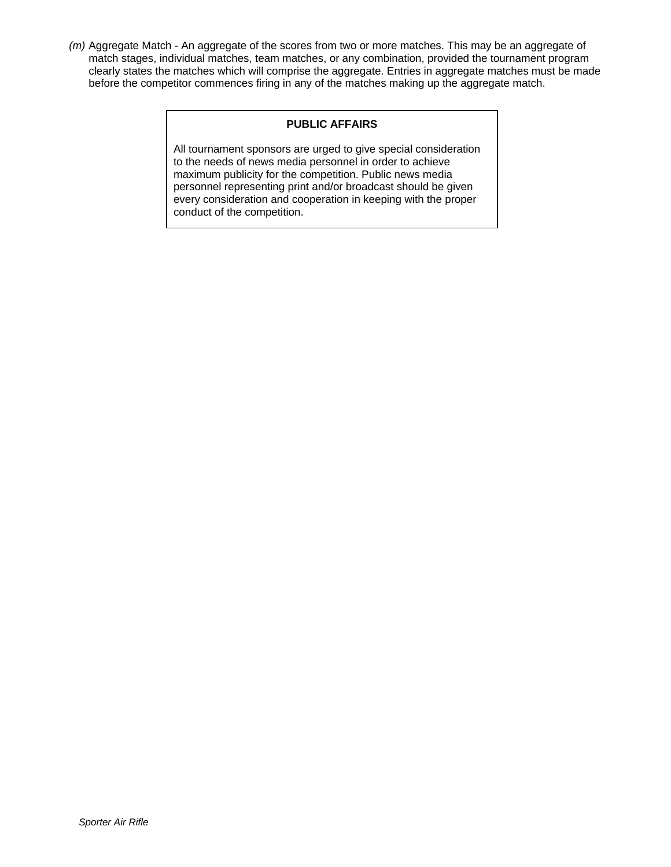*(m)* Aggregate Match - An aggregate of the scores from two or more matches. This may be an aggregate of match stages, individual matches, team matches, or any combination, provided the tournament program clearly states the matches which will comprise the aggregate. Entries in aggregate matches must be made before the competitor commences firing in any of the matches making up the aggregate match.

# **PUBLIC AFFAIRS**

All tournament sponsors are urged to give special consideration to the needs of news media personnel in order to achieve maximum publicity for the competition. Public news media personnel representing print and/or broadcast should be given every consideration and cooperation in keeping with the proper conduct of the competition.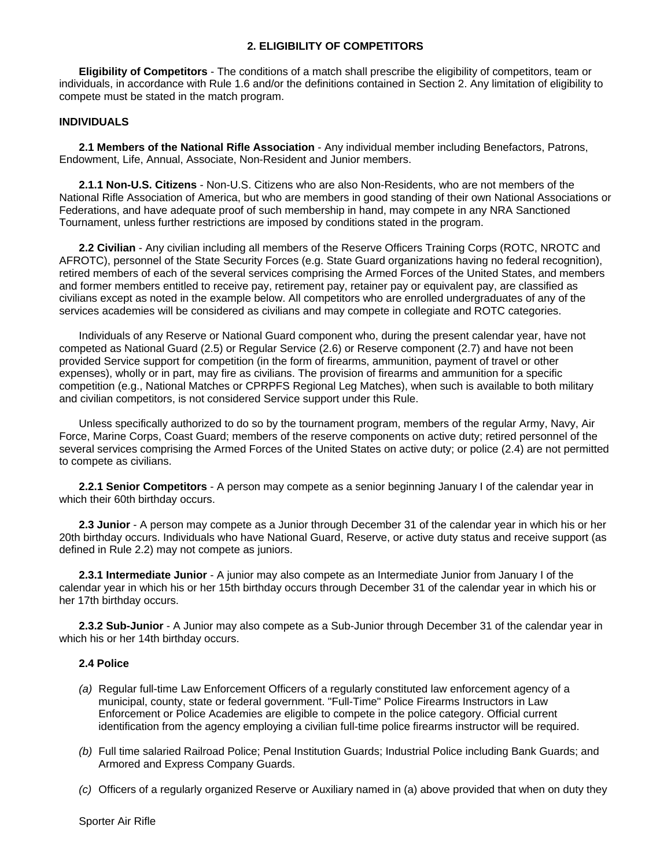## **2. ELIGIBILITY OF COMPETITORS**

<span id="page-4-0"></span>**Eligibility of Competitors** - The conditions of a match shall prescribe the eligibility of competitors, team or individuals, in accordance with Rule 1.6 and/or the definitions contained in Section 2. Any limitation of eligibility to compete must be stated in the match program.

### **INDIVIDUALS**

**2.1 Members of the National Rifle Association** - Any individual member including Benefactors, Patrons, Endowment, Life, Annual, Associate, Non-Resident and Junior members.

**2.1.1 Non-U.S. Citizens** - Non-U.S. Citizens who are also Non-Residents, who are not members of the National Rifle Association of America, but who are members in good standing of their own National Associations or Federations, and have adequate proof of such membership in hand, may compete in any NRA Sanctioned Tournament, unless further restrictions are imposed by conditions stated in the program.

**2.2 Civilian** - Any civilian including all members of the Reserve Officers Training Corps (ROTC, NROTC and AFROTC), personnel of the State Security Forces (e.g. State Guard organizations having no federal recognition), retired members of each of the several services comprising the Armed Forces of the United States, and members and former members entitled to receive pay, retirement pay, retainer pay or equivalent pay, are classified as civilians except as noted in the example below. All competitors who are enrolled undergraduates of any of the services academies will be considered as civilians and may compete in collegiate and ROTC categories.

Individuals of any Reserve or National Guard component who, during the present calendar year, have not competed as National Guard (2.5) or Regular Service (2.6) or Reserve component (2.7) and have not been provided Service support for competition (in the form of firearms, ammunition, payment of travel or other expenses), wholly or in part, may fire as civilians. The provision of firearms and ammunition for a specific competition (e.g., National Matches or CPRPFS Regional Leg Matches), when such is available to both military and civilian competitors, is not considered Service support under this Rule.

Unless specifically authorized to do so by the tournament program, members of the regular Army, Navy, Air Force, Marine Corps, Coast Guard; members of the reserve components on active duty; retired personnel of the several services comprising the Armed Forces of the United States on active duty; or police (2.4) are not permitted to compete as civilians.

**2.2.1 Senior Competitors** - A person may compete as a senior beginning January I of the calendar year in which their 60th birthday occurs.

**2.3 Junior** - A person may compete as a Junior through December 31 of the calendar year in which his or her 20th birthday occurs. Individuals who have National Guard, Reserve, or active duty status and receive support (as defined in Rule 2.2) may not compete as juniors.

**2.3.1 Intermediate Junior** - A junior may also compete as an Intermediate Junior from January I of the calendar year in which his or her 15th birthday occurs through December 31 of the calendar year in which his or her 17th birthday occurs.

**2.3.2 Sub-Junior** - A Junior may also compete as a Sub-Junior through December 31 of the calendar year in which his or her 14th birthday occurs.

### **2.4 Police**

- *(a)* Regular full-time Law Enforcement Officers of a regularly constituted law enforcement agency of a municipal, county, state or federal government. "Full-Time" Police Firearms Instructors in Law Enforcement or Police Academies are eligible to compete in the police category. Official current identification from the agency employing a civilian full-time police firearms instructor will be required.
- *(b)* Full time salaried Railroad Police; Penal Institution Guards; Industrial Police including Bank Guards; and Armored and Express Company Guards.
- *(c)* Officers of a regularly organized Reserve or Auxiliary named in (a) above provided that when on duty they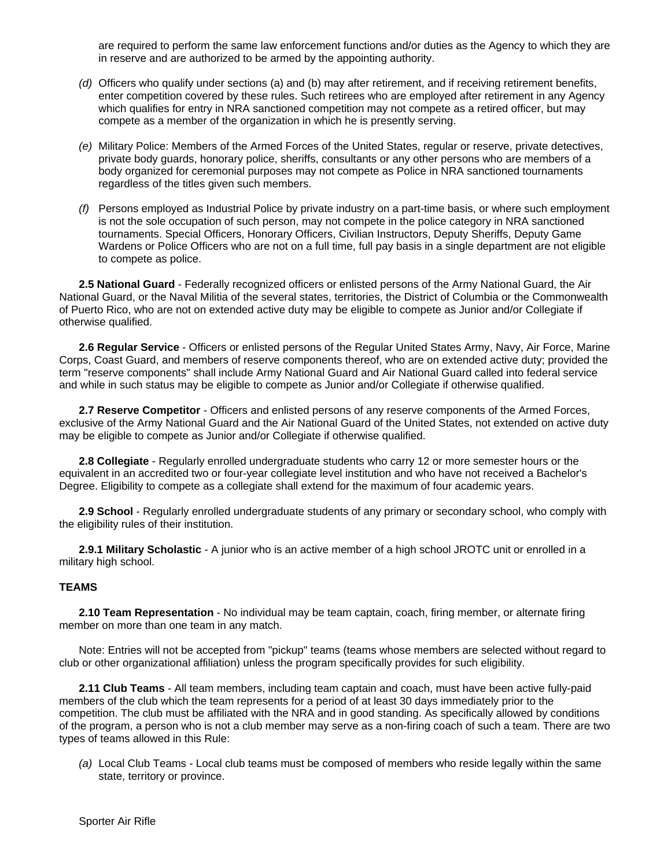are required to perform the same law enforcement functions and/or duties as the Agency to which they are in reserve and are authorized to be armed by the appointing authority.

- *(d)* Officers who qualify under sections (a) and (b) may after retirement, and if receiving retirement benefits, enter competition covered by these rules. Such retirees who are employed after retirement in any Agency which qualifies for entry in NRA sanctioned competition may not compete as a retired officer, but may compete as a member of the organization in which he is presently serving.
- *(e)* Military Police: Members of the Armed Forces of the United States, regular or reserve, private detectives, private body guards, honorary police, sheriffs, consultants or any other persons who are members of a body organized for ceremonial purposes may not compete as Police in NRA sanctioned tournaments regardless of the titles given such members.
- *(f)* Persons employed as Industrial Police by private industry on a part-time basis, or where such employment is not the sole occupation of such person, may not compete in the police category in NRA sanctioned tournaments. Special Officers, Honorary Officers, Civilian Instructors, Deputy Sheriffs, Deputy Game Wardens or Police Officers who are not on a full time, full pay basis in a single department are not eligible to compete as police.

**2.5 National Guard** - Federally recognized officers or enlisted persons of the Army National Guard, the Air National Guard, or the Naval Militia of the several states, territories, the District of Columbia or the Commonwealth of Puerto Rico, who are not on extended active duty may be eligible to compete as Junior and/or Collegiate if otherwise qualified.

**2.6 Regular Service** - Officers or enlisted persons of the Regular United States Army, Navy, Air Force, Marine Corps, Coast Guard, and members of reserve components thereof, who are on extended active duty; provided the term "reserve components" shall include Army National Guard and Air National Guard called into federal service and while in such status may be eligible to compete as Junior and/or Collegiate if otherwise qualified.

**2.7 Reserve Competitor** - Officers and enlisted persons of any reserve components of the Armed Forces, exclusive of the Army National Guard and the Air National Guard of the United States, not extended on active duty may be eligible to compete as Junior and/or Collegiate if otherwise qualified.

**2.8 Collegiate** - Regularly enrolled undergraduate students who carry 12 or more semester hours or the equivalent in an accredited two or four-year collegiate level institution and who have not received a Bachelor's Degree. Eligibility to compete as a collegiate shall extend for the maximum of four academic years.

**2.9 School** - Regularly enrolled undergraduate students of any primary or secondary school, who comply with the eligibility rules of their institution.

**2.9.1 Military Scholastic** - A junior who is an active member of a high school JROTC unit or enrolled in a military high school.

### **TEAMS**

**2.10 Team Representation** - No individual may be team captain, coach, firing member, or alternate firing member on more than one team in any match.

Note: Entries will not be accepted from "pickup" teams (teams whose members are selected without regard to club or other organizational affiliation) unless the program specifically provides for such eligibility.

**2.11 Club Teams** - All team members, including team captain and coach, must have been active fully-paid members of the club which the team represents for a period of at least 30 days immediately prior to the competition. The club must be affiliated with the NRA and in good standing. As specifically allowed by conditions of the program, a person who is not a club member may serve as a non-firing coach of such a team. There are two types of teams allowed in this Rule:

*(a)* Local Club Teams - Local club teams must be composed of members who reside legally within the same state, territory or province.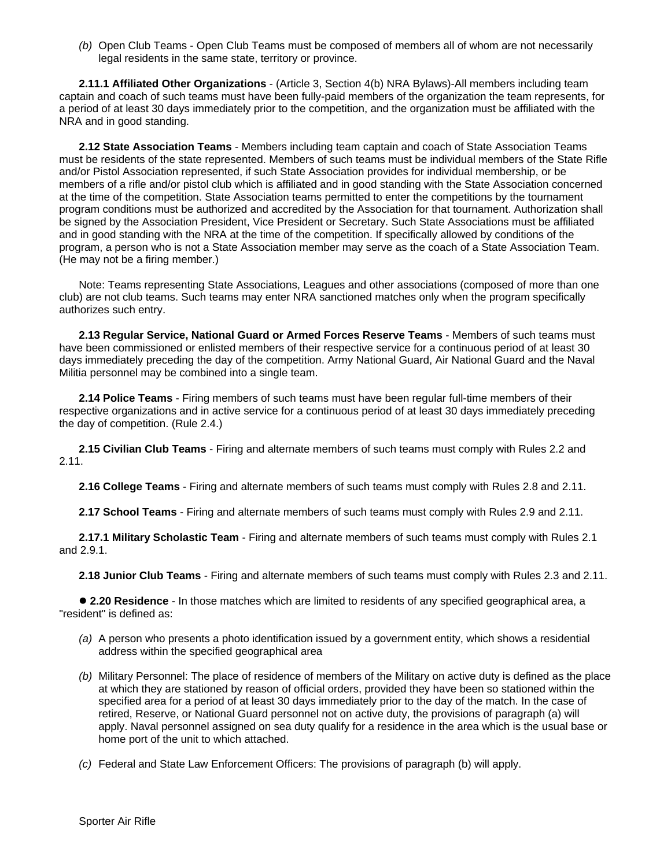*(b)* Open Club Teams - Open Club Teams must be composed of members all of whom are not necessarily legal residents in the same state, territory or province.

**2.11.1 Affiliated Other Organizations** - (Article 3, Section 4(b) NRA Bylaws)-All members including team captain and coach of such teams must have been fully-paid members of the organization the team represents, for a period of at least 30 days immediately prior to the competition, and the organization must be affiliated with the NRA and in good standing.

**2.12 State Association Teams** - Members including team captain and coach of State Association Teams must be residents of the state represented. Members of such teams must be individual members of the State Rifle and/or Pistol Association represented, if such State Association provides for individual membership, or be members of a rifle and/or pistol club which is affiliated and in good standing with the State Association concerned at the time of the competition. State Association teams permitted to enter the competitions by the tournament program conditions must be authorized and accredited by the Association for that tournament. Authorization shall be signed by the Association President, Vice President or Secretary. Such State Associations must be affiliated and in good standing with the NRA at the time of the competition. If specifically allowed by conditions of the program, a person who is not a State Association member may serve as the coach of a State Association Team. (He may not be a firing member.)

Note: Teams representing State Associations, Leagues and other associations (composed of more than one club) are not club teams. Such teams may enter NRA sanctioned matches only when the program specifically authorizes such entry.

**2.13 Regular Service, National Guard or Armed Forces Reserve Teams** - Members of such teams must have been commissioned or enlisted members of their respective service for a continuous period of at least 30 days immediately preceding the day of the competition. Army National Guard, Air National Guard and the Naval Militia personnel may be combined into a single team.

**2.14 Police Teams** - Firing members of such teams must have been regular full-time members of their respective organizations and in active service for a continuous period of at least 30 days immediately preceding the day of competition. (Rule 2.4.)

**2.15 Civilian Club Teams** - Firing and alternate members of such teams must comply with Rules 2.2 and 2.11.

**2.16 College Teams** - Firing and alternate members of such teams must comply with Rules 2.8 and 2.11.

**2.17 School Teams** - Firing and alternate members of such teams must comply with Rules 2.9 and 2.11.

**2.17.1 Military Scholastic Team** - Firing and alternate members of such teams must comply with Rules 2.1 and 2.9.1.

**2.18 Junior Club Teams** - Firing and alternate members of such teams must comply with Rules 2.3 and 2.11.

• 2.20 Residence - In those matches which are limited to residents of any specified geographical area, a "resident" is defined as:

- *(a)* A person who presents a photo identification issued by a government entity, which shows a residential address within the specified geographical area
- *(b)* Military Personnel: The place of residence of members of the Military on active duty is defined as the place at which they are stationed by reason of official orders, provided they have been so stationed within the specified area for a period of at least 30 days immediately prior to the day of the match. In the case of retired, Reserve, or National Guard personnel not on active duty, the provisions of paragraph (a) will apply. Naval personnel assigned on sea duty qualify for a residence in the area which is the usual base or home port of the unit to which attached.
- *(c)* Federal and State Law Enforcement Officers: The provisions of paragraph (b) will apply.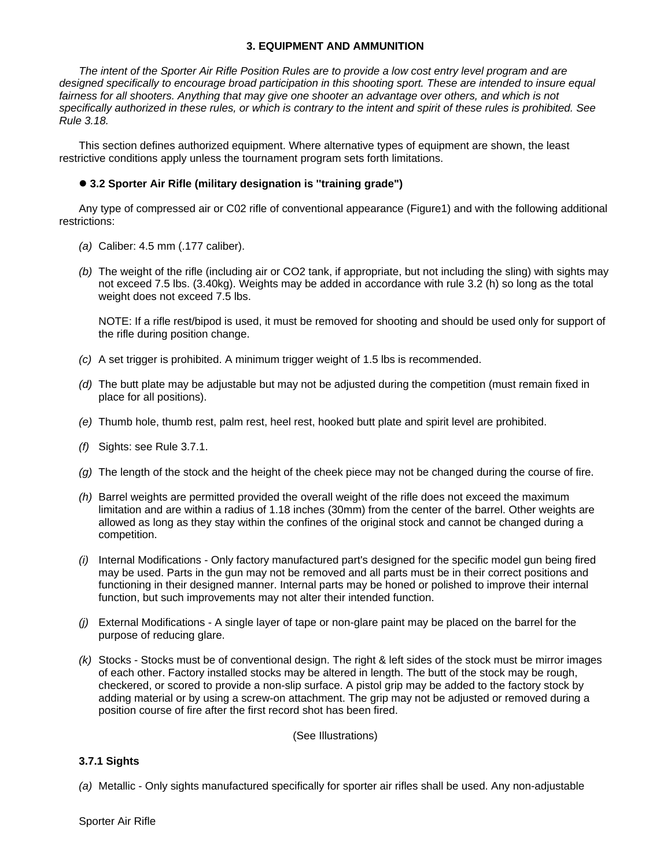# **3. EQUIPMENT AND AMMUNITION**

<span id="page-7-0"></span>*The intent of the Sporter Air Rifle Position Rules are to provide a low cost entry level program and are designed specifically to encourage broad participation in this shooting sport. These are intended to insure equal fairness for all shooters. Anything that may give one shooter an advantage over others, and which is not specifically authorized in these rules, or which is contrary to the intent and spirit of these rules is prohibited. See Rule 3.18.*

This section defines authorized equipment. Where alternative types of equipment are shown, the least restrictive conditions apply unless the tournament program sets forth limitations.

# ● 3.2 Sporter Air Rifle (military designation is "training grade")

Any type of compressed air or C02 rifle of conventional appearance (Figure1) and with the following additional restrictions:

- *(a)* Caliber: 4.5 mm (.177 caliber).
- *(b)* The weight of the rifle (including air or CO2 tank, if appropriate, but not including the sling) with sights may not exceed 7.5 lbs. (3.40kg). Weights may be added in accordance with rule 3.2 (h) so long as the total weight does not exceed 7.5 lbs.

NOTE: If a rifle rest/bipod is used, it must be removed for shooting and should be used only for support of the rifle during position change.

- *(c)* A set trigger is prohibited. A minimum trigger weight of 1.5 lbs is recommended.
- *(d)* The butt plate may be adjustable but may not be adjusted during the competition (must remain fixed in place for all positions).
- *(e)* Thumb hole, thumb rest, palm rest, heel rest, hooked butt plate and spirit level are prohibited.
- *(f)* Sights: see Rule 3.7.1.
- *(g)* The length of the stock and the height of the cheek piece may not be changed during the course of fire.
- *(h)* Barrel weights are permitted provided the overall weight of the rifle does not exceed the maximum limitation and are within a radius of 1.18 inches (30mm) from the center of the barrel. Other weights are allowed as long as they stay within the confines of the original stock and cannot be changed during a competition.
- *(i)* Internal Modifications Only factory manufactured part's designed for the specific model gun being fired may be used. Parts in the gun may not be removed and all parts must be in their correct positions and functioning in their designed manner. Internal parts may be honed or polished to improve their internal function, but such improvements may not alter their intended function.
- *(j)* External Modifications A single layer of tape or non-glare paint may be placed on the barrel for the purpose of reducing glare.
- *(k)* Stocks Stocks must be of conventional design. The right & left sides of the stock must be mirror images of each other. Factory installed stocks may be altered in length. The butt of the stock may be rough, checkered, or scored to provide a non-slip surface. A pistol grip may be added to the factory stock by adding material or by using a screw-on attachment. The grip may not be adjusted or removed during a position course of fire after the first record shot has been fired.

(See Illustrations)

### **3.7.1 Sights**

*(a)* Metallic - Only sights manufactured specifically for sporter air rifles shall be used. Any non-adjustable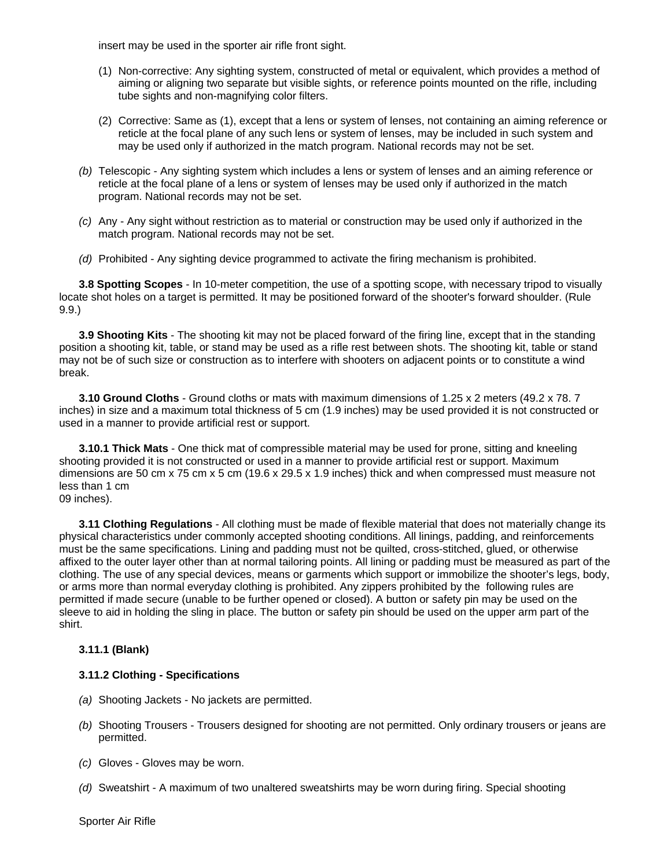insert may be used in the sporter air rifle front sight.

- (1) Non-corrective: Any sighting system, constructed of metal or equivalent, which provides a method of aiming or aligning two separate but visible sights, or reference points mounted on the rifle, including tube sights and non-magnifying color filters.
- (2) Corrective: Same as (1), except that a lens or system of lenses, not containing an aiming reference or reticle at the focal plane of any such lens or system of lenses, may be included in such system and may be used only if authorized in the match program. National records may not be set.
- *(b)* Telescopic Any sighting system which includes a lens or system of lenses and an aiming reference or reticle at the focal plane of a lens or system of lenses may be used only if authorized in the match program. National records may not be set.
- *(c)* Any Any sight without restriction as to material or construction may be used only if authorized in the match program. National records may not be set.
- *(d)* Prohibited Any sighting device programmed to activate the firing mechanism is prohibited.

**3.8 Spotting Scopes** - In 10-meter competition, the use of a spotting scope, with necessary tripod to visually locate shot holes on a target is permitted. It may be positioned forward of the shooter's forward shoulder. (Rule 9.9.)

**3.9 Shooting Kits** - The shooting kit may not be placed forward of the firing line, except that in the standing position a shooting kit, table, or stand may be used as a rifle rest between shots. The shooting kit, table or stand may not be of such size or construction as to interfere with shooters on adjacent points or to constitute a wind break.

**3.10 Ground Cloths** - Ground cloths or mats with maximum dimensions of 1.25 x 2 meters (49.2 x 78. 7 inches) in size and a maximum total thickness of 5 cm (1.9 inches) may be used provided it is not constructed or used in a manner to provide artificial rest or support.

**3.10.1 Thick Mats** - One thick mat of compressible material may be used for prone, sitting and kneeling shooting provided it is not constructed or used in a manner to provide artificial rest or support. Maximum dimensions are 50 cm x 75 cm x 5 cm (19.6 x 29.5 x 1.9 inches) thick and when compressed must measure not less than 1 cm

09 inches).

**3.11 Clothing Regulations** - All clothing must be made of flexible material that does not materially change its physical characteristics under commonly accepted shooting conditions. All linings, padding, and reinforcements must be the same specifications. Lining and padding must not be quilted, cross-stitched, glued, or otherwise affixed to the outer layer other than at normal tailoring points. All lining or padding must be measured as part of the clothing. The use of any special devices, means or garments which support or immobilize the shooter's legs, body, or arms more than normal everyday clothing is prohibited. Any zippers prohibited by the following rules are permitted if made secure (unable to be further opened or closed). A button or safety pin may be used on the sleeve to aid in holding the sling in place. The button or safety pin should be used on the upper arm part of the shirt.

# **3.11.1 (Blank)**

# **3.11.2 Clothing - Specifications**

- *(a)* Shooting Jackets No jackets are permitted.
- *(b)* Shooting Trousers Trousers designed for shooting are not permitted. Only ordinary trousers or jeans are permitted.
- *(c)* Gloves Gloves may be worn.
- *(d)* Sweatshirt A maximum of two unaltered sweatshirts may be worn during firing. Special shooting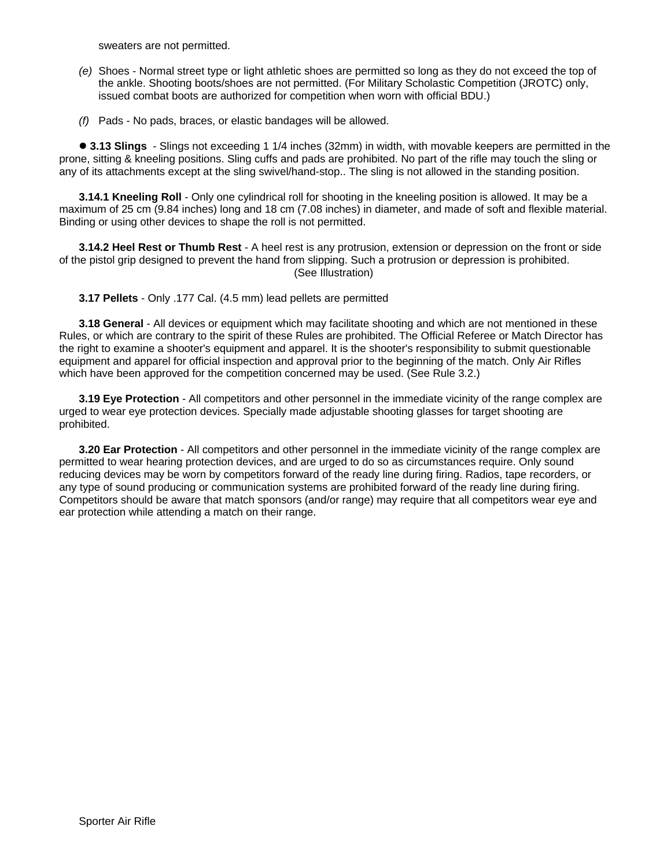sweaters are not permitted.

- *(e)* Shoes Normal street type or light athletic shoes are permitted so long as they do not exceed the top of the ankle. Shooting boots/shoes are not permitted. (For Military Scholastic Competition (JROTC) only, issued combat boots are authorized for competition when worn with official BDU.)
- *(f)* Pads No pads, braces, or elastic bandages will be allowed.

• 3.13 Slings - Slings not exceeding 1 1/4 inches (32mm) in width, with movable keepers are permitted in the prone, sitting & kneeling positions. Sling cuffs and pads are prohibited. No part of the rifle may touch the sling or any of its attachments except at the sling swivel/hand-stop.. The sling is not allowed in the standing position.

**3.14.1 Kneeling Roll** - Only one cylindrical roll for shooting in the kneeling position is allowed. It may be a maximum of 25 cm (9.84 inches) long and 18 cm (7.08 inches) in diameter, and made of soft and flexible material. Binding or using other devices to shape the roll is not permitted.

**3.14.2 Heel Rest or Thumb Rest** - A heel rest is any protrusion, extension or depression on the front or side of the pistol grip designed to prevent the hand from slipping. Such a protrusion or depression is prohibited. (See Illustration)

**3.17 Pellets** - Only .177 Cal. (4.5 mm) lead pellets are permitted

**3.18 General** - All devices or equipment which may facilitate shooting and which are not mentioned in these Rules, or which are contrary to the spirit of these Rules are prohibited. The Official Referee or Match Director has the right to examine a shooter's equipment and apparel. It is the shooter's responsibility to submit questionable equipment and apparel for official inspection and approval prior to the beginning of the match. Only Air Rifles which have been approved for the competition concerned may be used. (See Rule 3.2.)

**3.19 Eye Protection** - All competitors and other personnel in the immediate vicinity of the range complex are urged to wear eye protection devices. Specially made adjustable shooting glasses for target shooting are prohibited.

**3.20 Ear Protection** - All competitors and other personnel in the immediate vicinity of the range complex are permitted to wear hearing protection devices, and are urged to do so as circumstances require. Only sound reducing devices may be worn by competitors forward of the ready line during firing. Radios, tape recorders, or any type of sound producing or communication systems are prohibited forward of the ready line during firing. Competitors should be aware that match sponsors (and/or range) may require that all competitors wear eye and ear protection while attending a match on their range.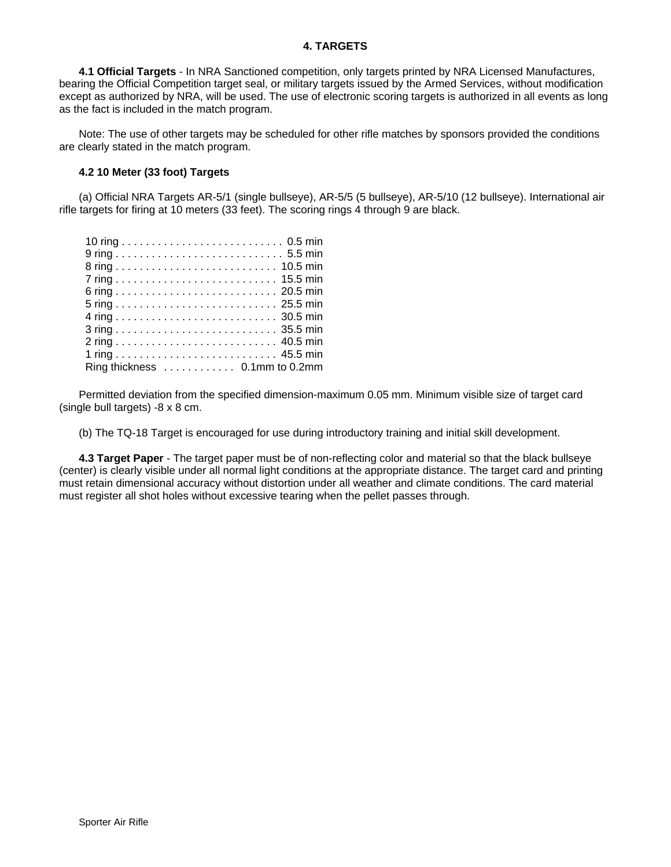## **4. TARGETS**

<span id="page-10-0"></span>**4.1 Official Targets** - In NRA Sanctioned competition, only targets printed by NRA Licensed Manufactures, bearing the Official Competition target seal, or military targets issued by the Armed Services, without modification except as authorized by NRA, will be used. The use of electronic scoring targets is authorized in all events as long as the fact is included in the match program.

Note: The use of other targets may be scheduled for other rifle matches by sponsors provided the conditions are clearly stated in the match program.

### **4.2 10 Meter (33 foot) Targets**

(a) Official NRA Targets AR-5/1 (single bullseye), AR-5/5 (5 bullseye), AR-5/10 (12 bullseye). International air rifle targets for firing at 10 meters (33 feet). The scoring rings 4 through 9 are black.

| Ring thickness  0.1mm to 0.2mm |  |
|--------------------------------|--|
|                                |  |

Permitted deviation from the specified dimension-maximum 0.05 mm. Minimum visible size of target card (single bull targets) -8 x 8 cm.

(b) The TQ-18 Target is encouraged for use during introductory training and initial skill development.

**4.3 Target Paper** - The target paper must be of non-reflecting color and material so that the black bullseye (center) is clearly visible under all normal light conditions at the appropriate distance. The target card and printing must retain dimensional accuracy without distortion under all weather and climate conditions. The card material must register all shot holes without excessive tearing when the pellet passes through.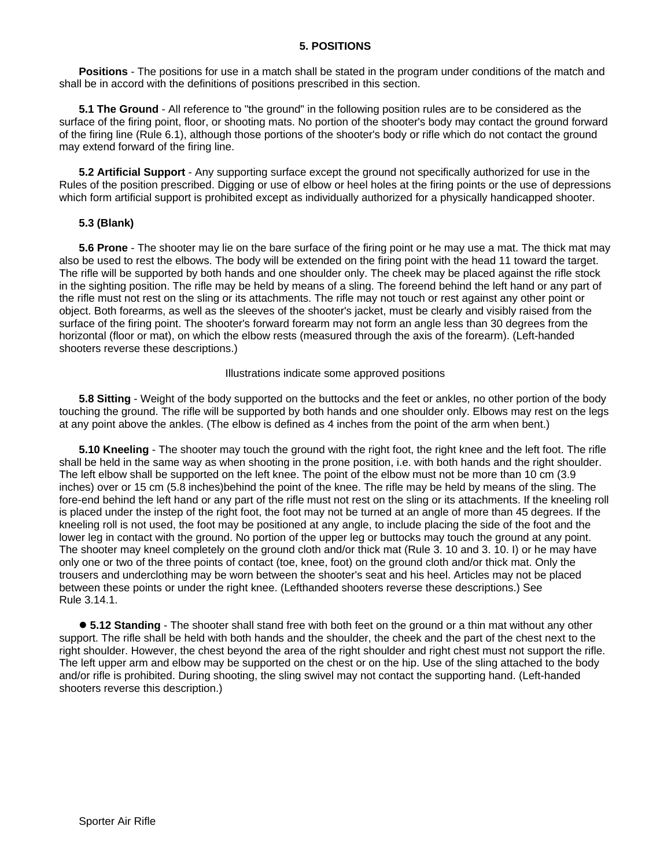# **5. POSITIONS**

<span id="page-11-0"></span>**Positions** - The positions for use in a match shall be stated in the program under conditions of the match and shall be in accord with the definitions of positions prescribed in this section.

**5.1 The Ground** - All reference to "the ground" in the following position rules are to be considered as the surface of the firing point, floor, or shooting mats. No portion of the shooter's body may contact the ground forward of the firing line (Rule 6.1), although those portions of the shooter's body or rifle which do not contact the ground may extend forward of the firing line.

**5.2 Artificial Support** - Any supporting surface except the ground not specifically authorized for use in the Rules of the position prescribed. Digging or use of elbow or heel holes at the firing points or the use of depressions which form artificial support is prohibited except as individually authorized for a physically handicapped shooter.

### **5.3 (Blank)**

**5.6 Prone** - The shooter may lie on the bare surface of the firing point or he may use a mat. The thick mat may also be used to rest the elbows. The body will be extended on the firing point with the head 11 toward the target. The rifle will be supported by both hands and one shoulder only. The cheek may be placed against the rifle stock in the sighting position. The rifle may be held by means of a sling. The foreend behind the left hand or any part of the rifle must not rest on the sling or its attachments. The rifle may not touch or rest against any other point or object. Both forearms, as well as the sleeves of the shooter's jacket, must be clearly and visibly raised from the surface of the firing point. The shooter's forward forearm may not form an angle less than 30 degrees from the horizontal (floor or mat), on which the elbow rests (measured through the axis of the forearm). (Left-handed shooters reverse these descriptions.)

#### Illustrations indicate some approved positions

**5.8 Sitting** - Weight of the body supported on the buttocks and the feet or ankles, no other portion of the body touching the ground. The rifle will be supported by both hands and one shoulder only. Elbows may rest on the legs at any point above the ankles. (The elbow is defined as 4 inches from the point of the arm when bent.)

**5.10 Kneeling** - The shooter may touch the ground with the right foot, the right knee and the left foot. The rifle shall be held in the same way as when shooting in the prone position, i.e. with both hands and the right shoulder. The left elbow shall be supported on the left knee. The point of the elbow must not be more than 10 cm (3.9 inches) over or 15 cm (5.8 inches)behind the point of the knee. The rifle may be held by means of the sling. The fore-end behind the left hand or any part of the rifle must not rest on the sling or its attachments. If the kneeling roll is placed under the instep of the right foot, the foot may not be turned at an angle of more than 45 degrees. If the kneeling roll is not used, the foot may be positioned at any angle, to include placing the side of the foot and the lower leg in contact with the ground. No portion of the upper leg or buttocks may touch the ground at any point. The shooter may kneel completely on the ground cloth and/or thick mat (Rule 3. 10 and 3. 10. I) or he may have only one or two of the three points of contact (toe, knee, foot) on the ground cloth and/or thick mat. Only the trousers and underclothing may be worn between the shooter's seat and his heel. Articles may not be placed between these points or under the right knee. (Lefthanded shooters reverse these descriptions.) See Rule 3.14.1.

**• 5.12 Standing** - The shooter shall stand free with both feet on the ground or a thin mat without any other support. The rifle shall be held with both hands and the shoulder, the cheek and the part of the chest next to the right shoulder. However, the chest beyond the area of the right shoulder and right chest must not support the rifle. The left upper arm and elbow may be supported on the chest or on the hip. Use of the sling attached to the body and/or rifle is prohibited. During shooting, the sling swivel may not contact the supporting hand. (Left-handed shooters reverse this description.)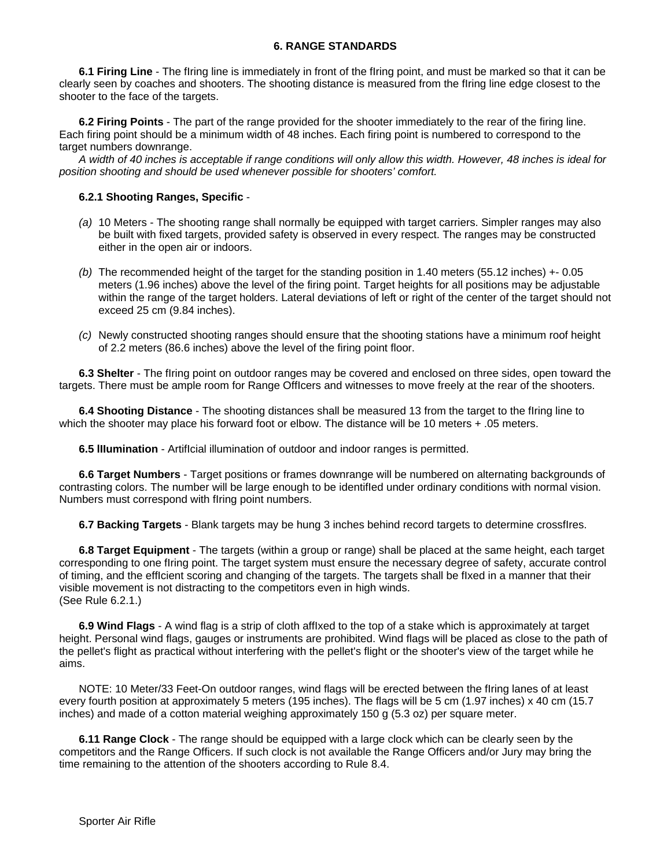# **6. RANGE STANDARDS**

<span id="page-12-0"></span>**6.1 Firing Line** - The fIring line is immediately in front of the fIring point, and must be marked so that it can be clearly seen by coaches and shooters. The shooting distance is measured from the fIring line edge closest to the shooter to the face of the targets.

**6.2 Firing Points** - The part of the range provided for the shooter immediately to the rear of the firing line. Each firing point should be a minimum width of 48 inches. Each firing point is numbered to correspond to the target numbers downrange.

*A width of 40 inches is acceptable if range conditions will only allow this width. However, 48 inches is ideal for position shooting and should be used whenever possible for shooters' comfort.*

# **6.2.1 Shooting Ranges, Specific** -

- *(a)* 10 Meters The shooting range shall normally be equipped with target carriers. Simpler ranges may also be built with fixed targets, provided safety is observed in every respect. The ranges may be constructed either in the open air or indoors.
- *(b)* The recommended height of the target for the standing position in 1.40 meters (55.12 inches) +- 0.05 meters (1.96 inches) above the level of the firing point. Target heights for all positions may be adjustable within the range of the target holders. Lateral deviations of left or right of the center of the target should not exceed 25 cm (9.84 inches).
- *(c)* Newly constructed shooting ranges should ensure that the shooting stations have a minimum roof height of 2.2 meters (86.6 inches) above the level of the firing point floor.

**6.3 Shelter** - The fIring point on outdoor ranges may be covered and enclosed on three sides, open toward the targets. There must be ample room for Range OffIcers and witnesses to move freely at the rear of the shooters.

**6.4 Shooting Distance** - The shooting distances shall be measured 13 from the target to the fIring line to which the shooter may place his forward foot or elbow. The distance will be 10 meters + .05 meters.

**6.5 lIIumination** - ArtifIcial illumination of outdoor and indoor ranges is permitted.

**6.6 Target Numbers** - Target positions or frames downrange will be numbered on alternating backgrounds of contrasting colors. The number will be large enough to be identifIed under ordinary conditions with normal vision. Numbers must correspond with fIring point numbers.

**6.7 Backing Targets** - Blank targets may be hung 3 inches behind record targets to determine crossfIres.

**6.8 Target Equipment** - The targets (within a group or range) shall be placed at the same height, each target corresponding to one fIring point. The target system must ensure the necessary degree of safety, accurate control of timing, and the effIcient scoring and changing of the targets. The targets shall be fIxed in a manner that their visible movement is not distracting to the competitors even in high winds. (See Rule 6.2.1.)

**6.9 Wind Flags** - A wind flag is a strip of cloth affIxed to the top of a stake which is approximately at target height. Personal wind flags, gauges or instruments are prohibited. Wind flags will be placed as close to the path of the pellet's flight as practical without interfering with the pellet's flight or the shooter's view of the target while he aims.

NOTE: 10 Meter/33 Feet-On outdoor ranges, wind flags will be erected between the fIring lanes of at least every fourth position at approximately 5 meters (195 inches). The flags will be 5 cm (1.97 inches) x 40 cm (15.7 inches) and made of a cotton material weighing approximately 150 g (5.3 oz) per square meter.

**6.11 Range Clock** - The range should be equipped with a large clock which can be clearly seen by the competitors and the Range Officers. If such clock is not available the Range Officers and/or Jury may bring the time remaining to the attention of the shooters according to Rule 8.4.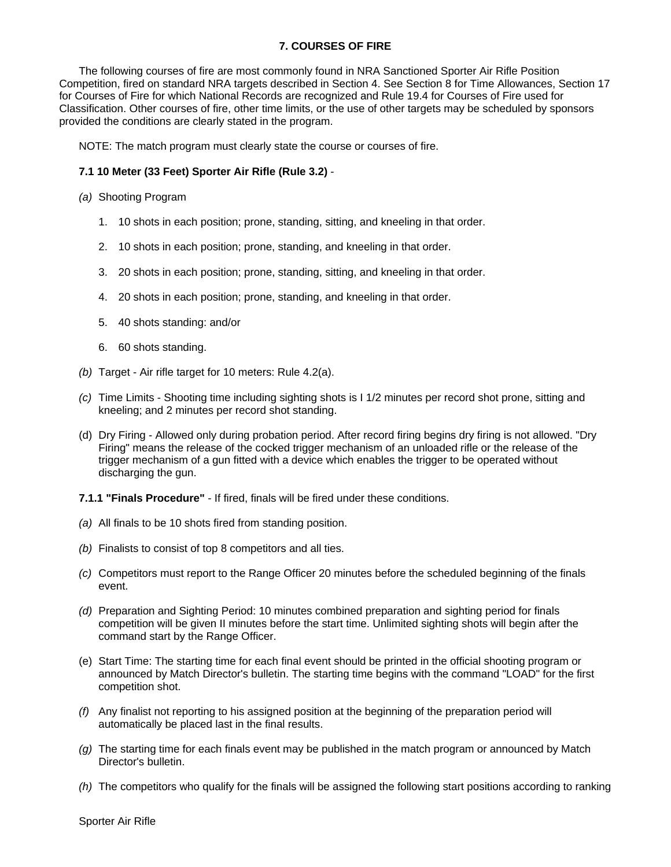# **7. COURSES OF FIRE**

<span id="page-13-0"></span>The following courses of fire are most commonly found in NRA Sanctioned Sporter Air Rifle Position Competition, fired on standard NRA targets described in Section 4. See Section 8 for Time Allowances, Section 17 for Courses of Fire for which National Records are recognized and Rule 19.4 for Courses of Fire used for Classification. Other courses of fire, other time limits, or the use of other targets may be scheduled by sponsors provided the conditions are clearly stated in the program.

NOTE: The match program must clearly state the course or courses of fire.

# **7.1 10 Meter (33 Feet) Sporter Air Rifle (Rule 3.2)** -

- *(a)* Shooting Program
	- 1. 10 shots in each position; prone, standing, sitting, and kneeling in that order.
	- 2. 10 shots in each position; prone, standing, and kneeling in that order.
	- 3. 20 shots in each position; prone, standing, sitting, and kneeling in that order.
	- 4. 20 shots in each position; prone, standing, and kneeling in that order.
	- 5. 40 shots standing: and/or
	- 6. 60 shots standing.
- *(b)* Target Air rifle target for 10 meters: Rule 4.2(a).
- *(c)* Time Limits Shooting time including sighting shots is I 1/2 minutes per record shot prone, sitting and kneeling; and 2 minutes per record shot standing.
- (d) Dry Firing Allowed only during probation period. After record firing begins dry firing is not allowed. "Dry Firing" means the release of the cocked trigger mechanism of an unloaded rifle or the release of the trigger mechanism of a gun fitted with a device which enables the trigger to be operated without discharging the gun.
- **7.1.1 "Finals Procedure"** If fired, finals will be fired under these conditions.
- *(a)* All finals to be 10 shots fired from standing position.
- *(b)* Finalists to consist of top 8 competitors and all ties.
- *(c)* Competitors must report to the Range Officer 20 minutes before the scheduled beginning of the finals event.
- *(d)* Preparation and Sighting Period: 10 minutes combined preparation and sighting period for finals competition will be given II minutes before the start time. Unlimited sighting shots will begin after the command start by the Range Officer.
- (e) Start Time: The starting time for each final event should be printed in the official shooting program or announced by Match Director's bulletin. The starting time begins with the command "LOAD" for the first competition shot.
- *(f)* Any finalist not reporting to his assigned position at the beginning of the preparation period will automatically be placed last in the final results.
- *(g)* The starting time for each finals event may be published in the match program or announced by Match Director's bulletin.
- *(h)* The competitors who qualify for the finals will be assigned the following start positions according to ranking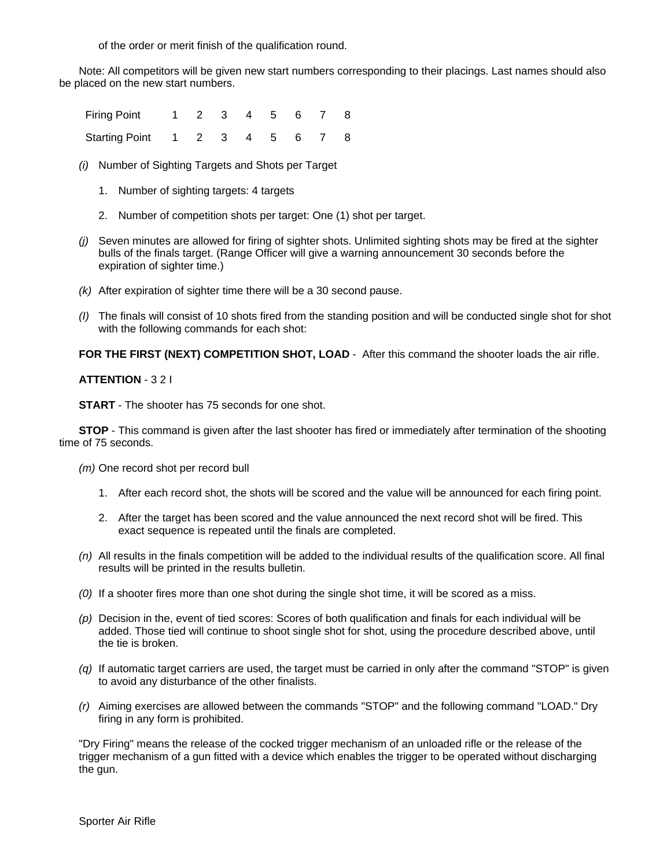of the order or merit finish of the qualification round.

Note: All competitors will be given new start numbers corresponding to their placings. Last names should also be placed on the new start numbers.

Firing Point 1 2 3 4 5 6 7 8 Starting Point 1 2 3 4 5 6 7 8

- *(i)* Number of Sighting Targets and Shots per Target
	- 1. Number of sighting targets: 4 targets
	- 2. Number of competition shots per target: One (1) shot per target.
- *(j)* Seven minutes are allowed for firing of sighter shots. Unlimited sighting shots may be fired at the sighter bulls of the finals target. (Range Officer will give a warning announcement 30 seconds before the expiration of sighter time.)
- *(k)* After expiration of sighter time there will be a 30 second pause.
- *(I)* The finals will consist of 10 shots fired from the standing position and will be conducted single shot for shot with the following commands for each shot:

FOR THE FIRST (NEXT) COMPETITION SHOT, LOAD - After this command the shooter loads the air rifle.

# **ATTENTION** - 3 2 I

**START** - The shooter has 75 seconds for one shot.

**STOP** - This command is given after the last shooter has fired or immediately after termination of the shooting time of 75 seconds.

*(m)* One record shot per record bull

- 1. After each record shot, the shots will be scored and the value will be announced for each firing point.
- 2. After the target has been scored and the value announced the next record shot will be fired. This exact sequence is repeated until the finals are completed.
- *(n)* All results in the finals competition will be added to the individual results of the qualification score. All final results will be printed in the results bulletin.
- *(0)* If a shooter fires more than one shot during the single shot time, it will be scored as a miss.
- *(p)* Decision in the, event of tied scores: Scores of both qualification and finals for each individual will be added. Those tied will continue to shoot single shot for shot, using the procedure described above, until the tie is broken.
- *(q)* If automatic target carriers are used, the target must be carried in only after the command "STOP" is given to avoid any disturbance of the other finalists.
- *(r)* Aiming exercises are allowed between the commands "STOP" and the following command "LOAD." Dry firing in any form is prohibited.

"Dry Firing" means the release of the cocked trigger mechanism of an unloaded rifle or the release of the trigger mechanism of a gun fitted with a device which enables the trigger to be operated without discharging the gun.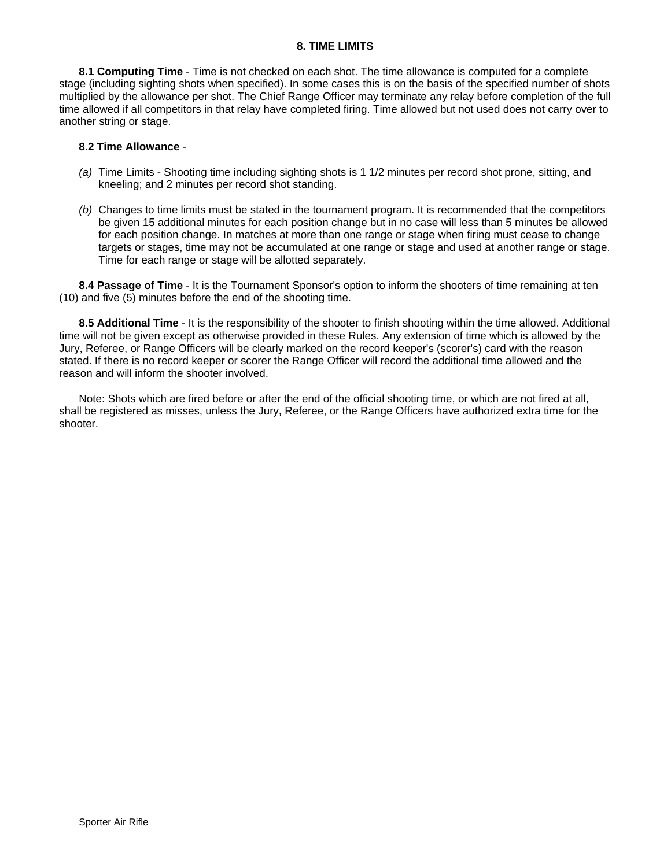### **8. TIME LIMITS**

<span id="page-15-0"></span>**8.1 Computing Time** - Time is not checked on each shot. The time allowance is computed for a complete stage (including sighting shots when specified). In some cases this is on the basis of the specified number of shots multiplied by the allowance per shot. The Chief Range Officer may terminate any relay before completion of the full time allowed if all competitors in that relay have completed firing. Time allowed but not used does not carry over to another string or stage.

#### **8.2 Time Allowance** -

- *(a)* Time Limits Shooting time including sighting shots is 1 1/2 minutes per record shot prone, sitting, and kneeling; and 2 minutes per record shot standing.
- *(b)* Changes to time limits must be stated in the tournament program. It is recommended that the competitors be given 15 additional minutes for each position change but in no case will less than 5 minutes be allowed for each position change. In matches at more than one range or stage when firing must cease to change targets or stages, time may not be accumulated at one range or stage and used at another range or stage. Time for each range or stage will be allotted separately.

**8.4 Passage of Time** - It is the Tournament Sponsor's option to inform the shooters of time remaining at ten (10) and five (5) minutes before the end of the shooting time.

**8.5 Additional Time** - It is the responsibility of the shooter to finish shooting within the time allowed. Additional time will not be given except as otherwise provided in these Rules. Any extension of time which is allowed by the Jury, Referee, or Range Officers will be clearly marked on the record keeper's (scorer's) card with the reason stated. If there is no record keeper or scorer the Range Officer will record the additional time allowed and the reason and will inform the shooter involved.

Note: Shots which are fired before or after the end of the official shooting time, or which are not fired at all, shall be registered as misses, unless the Jury, Referee, or the Range Officers have authorized extra time for the shooter.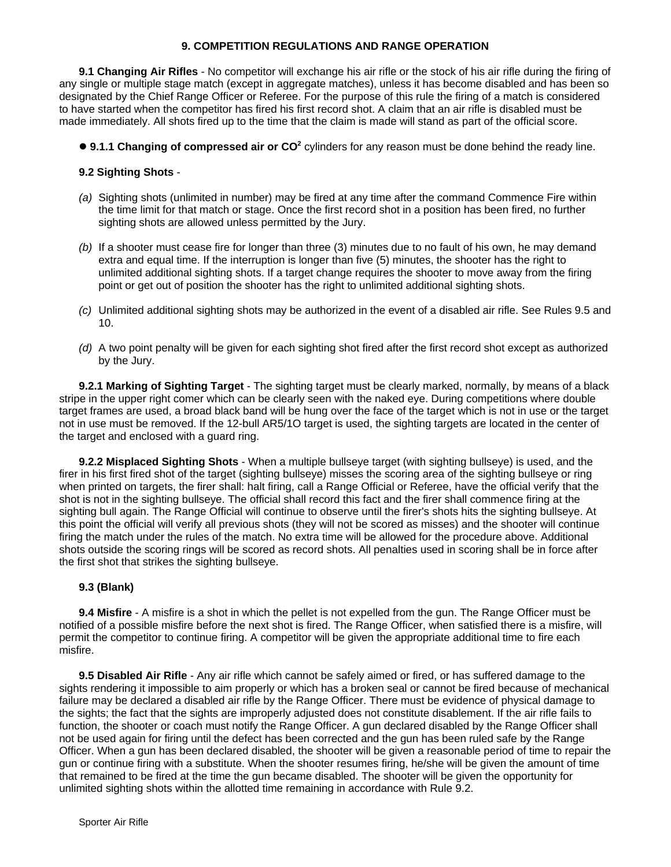#### **9. COMPETITION REGULATIONS AND RANGE OPERATION**

<span id="page-16-0"></span>**9.1 Changing Air Rifles** - No competitor will exchange his air rifle or the stock of his air rifle during the firing of any single or multiple stage match (except in aggregate matches), unless it has become disabled and has been so designated by the Chief Range Officer or Referee. For the purpose of this rule the firing of a match is considered to have started when the competitor has fired his first record shot. A claim that an air rifle is disabled must be made immediately. All shots fired up to the time that the claim is made will stand as part of the official score.

● 9.1.1 Changing of compressed air or CO<sup>2</sup> cylinders for any reason must be done behind the ready line.

### **9.2 Sighting Shots** -

- *(a)* Sighting shots (unlimited in number) may be fired at any time after the command Commence Fire within the time limit for that match or stage. Once the first record shot in a position has been fired, no further sighting shots are allowed unless permitted by the Jury.
- *(b)* If a shooter must cease fire for longer than three (3) minutes due to no fault of his own, he may demand extra and equal time. If the interruption is longer than five (5) minutes, the shooter has the right to unlimited additional sighting shots. If a target change requires the shooter to move away from the firing point or get out of position the shooter has the right to unlimited additional sighting shots.
- *(c)* Unlimited additional sighting shots may be authorized in the event of a disabled air rifle. See Rules 9.5 and 10.
- *(d)* A two point penalty will be given for each sighting shot fired after the first record shot except as authorized by the Jury.

**9.2.1 Marking of Sighting Target** - The sighting target must be clearly marked, normally, by means of a black stripe in the upper right comer which can be clearly seen with the naked eye. During competitions where double target frames are used, a broad black band will be hung over the face of the target which is not in use or the target not in use must be removed. If the 12-bull AR5/1O target is used, the sighting targets are located in the center of the target and enclosed with a guard ring.

**9.2.2 Misplaced Sighting Shots** - When a multiple bullseye target (with sighting bullseye) is used, and the firer in his first fired shot of the target (sighting bullseye) misses the scoring area of the sighting bullseye or ring when printed on targets, the firer shall: halt firing, call a Range Official or Referee, have the official verify that the shot is not in the sighting bullseye. The official shall record this fact and the firer shall commence firing at the sighting bull again. The Range Official will continue to observe until the firer's shots hits the sighting bullseye. At this point the official will verify all previous shots (they will not be scored as misses) and the shooter will continue firing the match under the rules of the match. No extra time will be allowed for the procedure above. Additional shots outside the scoring rings will be scored as record shots. All penalties used in scoring shall be in force after the first shot that strikes the sighting bullseye.

### **9.3 (Blank)**

**9.4 Misfire** - A misfire is a shot in which the pellet is not expelled from the gun. The Range Officer must be notified of a possible misfire before the next shot is fired. The Range Officer, when satisfied there is a misfire, will permit the competitor to continue firing. A competitor will be given the appropriate additional time to fire each misfire.

**9.5 Disabled Air Rifle** - Any air rifle which cannot be safely aimed or fired, or has suffered damage to the sights rendering it impossible to aim properly or which has a broken seal or cannot be fired because of mechanical failure may be declared a disabled air rifle by the Range Officer. There must be evidence of physical damage to the sights; the fact that the sights are improperly adjusted does not constitute disablement. If the air rifle fails to function, the shooter or coach must notify the Range Officer. A gun declared disabled by the Range Officer shall not be used again for firing until the defect has been corrected and the gun has been ruled safe by the Range Officer. When a gun has been declared disabled, the shooter will be given a reasonable period of time to repair the gun or continue firing with a substitute. When the shooter resumes firing, he/she will be given the amount of time that remained to be fired at the time the gun became disabled. The shooter will be given the opportunity for unlimited sighting shots within the allotted time remaining in accordance with Rule 9.2.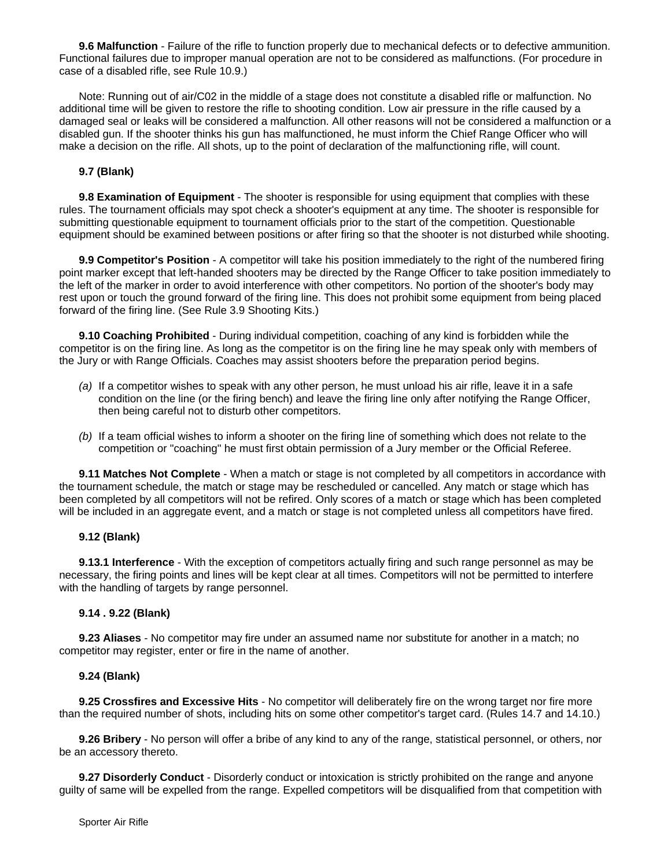**9.6 Malfunction** - Failure of the rifle to function properly due to mechanical defects or to defective ammunition. Functional failures due to improper manual operation are not to be considered as malfunctions. (For procedure in case of a disabled rifle, see Rule 10.9.)

Note: Running out of air/C02 in the middle of a stage does not constitute a disabled rifle or malfunction. No additional time will be given to restore the rifle to shooting condition. Low air pressure in the rifle caused by a damaged seal or leaks will be considered a malfunction. All other reasons will not be considered a malfunction or a disabled gun. If the shooter thinks his gun has malfunctioned, he must inform the Chief Range Officer who will make a decision on the rifle. All shots, up to the point of declaration of the malfunctioning rifle, will count.

# **9.7 (Blank)**

**9.8 Examination of Equipment** - The shooter is responsible for using equipment that complies with these rules. The tournament officials may spot check a shooter's equipment at any time. The shooter is responsible for submitting questionable equipment to tournament officials prior to the start of the competition. Questionable equipment should be examined between positions or after firing so that the shooter is not disturbed while shooting.

**9.9 Competitor's Position** - A competitor will take his position immediately to the right of the numbered firing point marker except that left-handed shooters may be directed by the Range Officer to take position immediately to the left of the marker in order to avoid interference with other competitors. No portion of the shooter's body may rest upon or touch the ground forward of the firing line. This does not prohibit some equipment from being placed forward of the firing line. (See Rule 3.9 Shooting Kits.)

**9.10 Coaching Prohibited** - During individual competition, coaching of any kind is forbidden while the competitor is on the firing line. As long as the competitor is on the firing line he may speak only with members of the Jury or with Range Officials. Coaches may assist shooters before the preparation period begins.

- *(a)* If a competitor wishes to speak with any other person, he must unload his air rifle, leave it in a safe condition on the line (or the firing bench) and leave the firing line only after notifying the Range Officer, then being careful not to disturb other competitors.
- *(b)* If a team official wishes to inform a shooter on the firing line of something which does not relate to the competition or "coaching" he must first obtain permission of a Jury member or the Official Referee.

**9.11 Matches Not Complete** - When a match or stage is not completed by all competitors in accordance with the tournament schedule, the match or stage may be rescheduled or cancelled. Any match or stage which has been completed by all competitors will not be refired. Only scores of a match or stage which has been completed will be included in an aggregate event, and a match or stage is not completed unless all competitors have fired.

### **9.12 (Blank)**

**9.13.1 Interference** - With the exception of competitors actually firing and such range personnel as may be necessary, the firing points and lines will be kept clear at all times. Competitors will not be permitted to interfere with the handling of targets by range personnel.

### **9.14 . 9.22 (Blank)**

**9.23 Aliases** - No competitor may fire under an assumed name nor substitute for another in a match; no competitor may register, enter or fire in the name of another.

### **9.24 (Blank)**

**9.25 Crossfires and Excessive Hits** - No competitor will deliberately fire on the wrong target nor fire more than the required number of shots, including hits on some other competitor's target card. (Rules 14.7 and 14.10.)

**9.26 Bribery** - No person will offer a bribe of any kind to any of the range, statistical personnel, or others, nor be an accessory thereto.

**9.27 Disorderly Conduct** - Disorderly conduct or intoxication is strictly prohibited on the range and anyone guilty of same will be expelled from the range. Expelled competitors will be disqualified from that competition with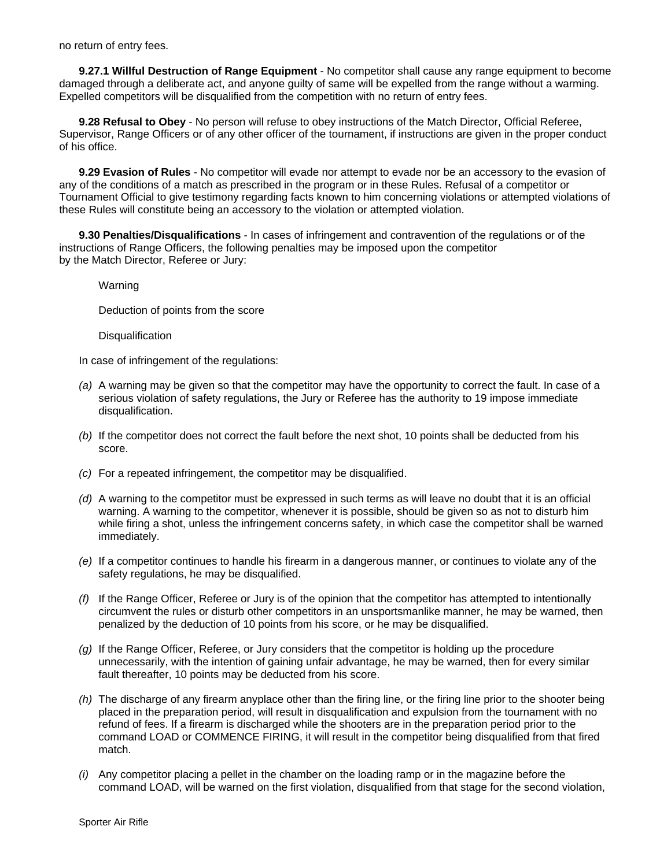no return of entry fees.

**9.27.1 Willful Destruction of Range Equipment** - No competitor shall cause any range equipment to become damaged through a deliberate act, and anyone guilty of same will be expelled from the range without a warming. Expelled competitors will be disqualified from the competition with no return of entry fees.

**9.28 Refusal to Obey** - No person will refuse to obey instructions of the Match Director, Official Referee, Supervisor, Range Officers or of any other officer of the tournament, if instructions are given in the proper conduct of his office.

**9.29 Evasion of Rules** - No competitor will evade nor attempt to evade nor be an accessory to the evasion of any of the conditions of a match as prescribed in the program or in these Rules. Refusal of a competitor or Tournament Official to give testimony regarding facts known to him concerning violations or attempted violations of these Rules will constitute being an accessory to the violation or attempted violation.

**9.30 Penalties/Disqualifications** - In cases of infringement and contravention of the regulations or of the instructions of Range Officers, the following penalties may be imposed upon the competitor by the Match Director, Referee or Jury:

Warning

Deduction of points from the score

**Disqualification** 

In case of infringement of the regulations:

- *(a)* A warning may be given so that the competitor may have the opportunity to correct the fault. In case of a serious violation of safety regulations, the Jury or Referee has the authority to 19 impose immediate disqualification.
- *(b)* If the competitor does not correct the fault before the next shot, 10 points shall be deducted from his score.
- *(c)* For a repeated infringement, the competitor may be disqualified.
- *(d)* A warning to the competitor must be expressed in such terms as will leave no doubt that it is an official warning. A warning to the competitor, whenever it is possible, should be given so as not to disturb him while firing a shot, unless the infringement concerns safety, in which case the competitor shall be warned immediately.
- *(e)* If a competitor continues to handle his firearm in a dangerous manner, or continues to violate any of the safety regulations, he may be disqualified.
- *(f)* If the Range Officer, Referee or Jury is of the opinion that the competitor has attempted to intentionally circumvent the rules or disturb other competitors in an unsportsmanlike manner, he may be warned, then penalized by the deduction of 10 points from his score, or he may be disqualified.
- *(g)* If the Range Officer, Referee, or Jury considers that the competitor is holding up the procedure unnecessarily, with the intention of gaining unfair advantage, he may be warned, then for every similar fault thereafter, 10 points may be deducted from his score.
- *(h)* The discharge of any firearm anyplace other than the firing line, or the firing line prior to the shooter being placed in the preparation period, will result in disqualification and expulsion from the tournament with no refund of fees. If a firearm is discharged while the shooters are in the preparation period prior to the command LOAD or COMMENCE FIRING, it will result in the competitor being disqualified from that fired match.
- *(i)* Any competitor placing a pellet in the chamber on the loading ramp or in the magazine before the command LOAD, will be warned on the first violation, disqualified from that stage for the second violation,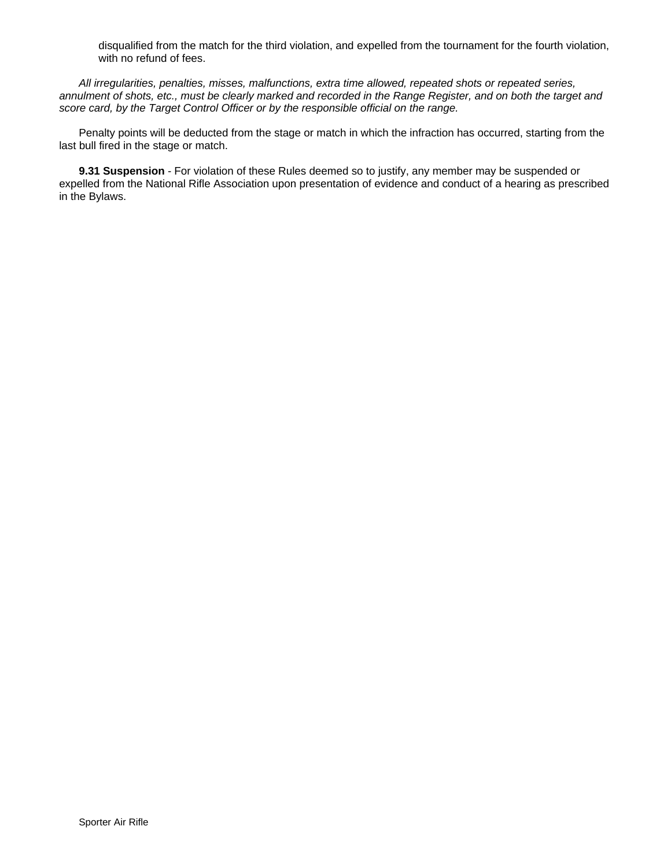disqualified from the match for the third violation, and expelled from the tournament for the fourth violation, with no refund of fees.

*All irregularities, penalties, misses, malfunctions, extra time allowed, repeated shots or repeated series, annulment of shots, etc., must be clearly marked and recorded in the Range Register, and on both the target and score card, by the Target Control Officer or by the responsible official on the range.*

Penalty points will be deducted from the stage or match in which the infraction has occurred, starting from the last bull fired in the stage or match.

**9.31 Suspension** - For violation of these Rules deemed so to justify, any member may be suspended or expelled from the National Rifle Association upon presentation of evidence and conduct of a hearing as prescribed in the Bylaws.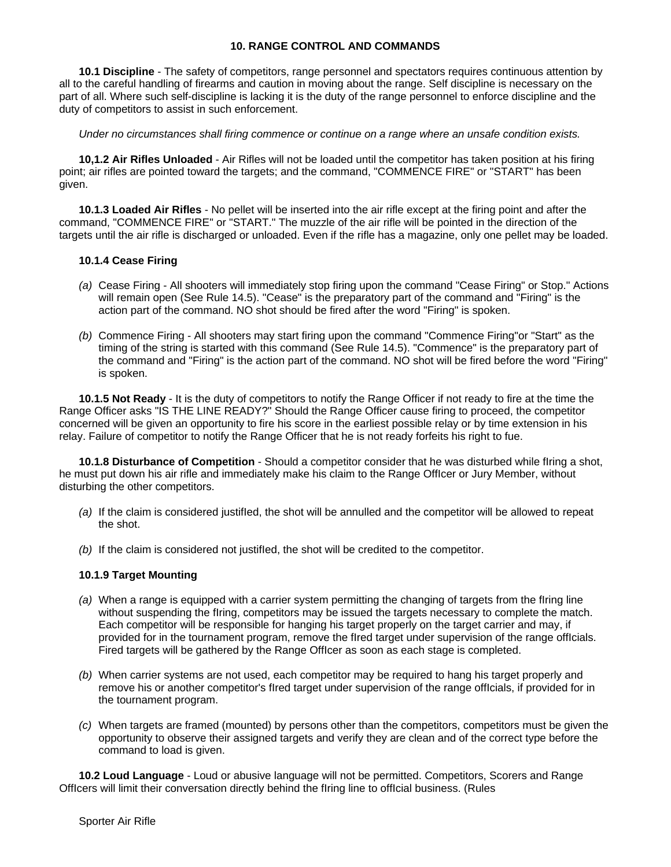# **10. RANGE CONTROL AND COMMANDS**

<span id="page-20-0"></span>**10.1 Discipline** - The safety of competitors, range personnel and spectators requires continuous attention by all to the careful handling of firearms and caution in moving about the range. Self discipline is necessary on the part of all. Where such self-discipline is lacking it is the duty of the range personnel to enforce discipline and the duty of competitors to assist in such enforcement.

*Under no circumstances shall firing commence or continue on a range where an unsafe condition exists.*

**10,1.2 Air Rifles Unloaded** - Air Rifles will not be loaded until the competitor has taken position at his firing point; air rifles are pointed toward the targets; and the command, "COMMENCE FIRE" or "START" has been given.

**10.1.3 Loaded Air Rifles** - No pellet will be inserted into the air rifle except at the firing point and after the command, "COMMENCE FIRE" or "START." The muzzle of the air rifle will be pointed in the direction of the targets until the air rifle is discharged or unloaded. Even if the rifle has a magazine, only one pellet may be loaded.

### **10.1.4 Cease Firing**

- *(a)* Cease Firing All shooters will immediately stop firing upon the command "Cease Firing" or Stop." Actions will remain open (See Rule 14.5). "Cease" is the preparatory part of the command and "Firing" is the action part of the command. NO shot should be fired after the word "Firing" is spoken.
- *(b)* Commence Firing All shooters may start firing upon the command "Commence Firing"or "Start" as the timing of the string is started with this command (See Rule 14.5). "Commence" is the preparatory part of the command and "Firing" is the action part of the command. NO shot will be fired before the word "Firing" is spoken.

**10.1.5 Not Ready** - It is the duty of competitors to notify the Range Officer if not ready to fire at the time the Range Officer asks "IS THE LINE READY?" Should the Range Officer cause firing to proceed, the competitor concerned will be given an opportunity to fire his score in the earliest possible relay or by time extension in his relay. Failure of competitor to notify the Range Officer that he is not ready forfeits his right to fue.

**10.1.8 Disturbance of Competition** - Should a competitor consider that he was disturbed while fIring a shot, he must put down his air rifle and immediately make his claim to the Range OffIcer or Jury Member, without disturbing the other competitors.

- *(a)* If the claim is considered justifIed, the shot will be annulled and the competitor will be allowed to repeat the shot.
- *(b)* If the claim is considered not justifIed, the shot will be credited to the competitor.

# **10.1.9 Target Mounting**

- *(a)* When a range is equipped with a carrier system permitting the changing of targets from the fIring line without suspending the fIring, competitors may be issued the targets necessary to complete the match. Each competitor will be responsible for hanging his target properly on the target carrier and may, if provided for in the tournament program, remove the fIred target under supervision of the range offIcials. Fired targets will be gathered by the Range OffIcer as soon as each stage is completed.
- *(b)* When carrier systems are not used, each competitor may be required to hang his target properly and remove his or another competitor's fIred target under supervision of the range offIcials, if provided for in the tournament program.
- *(c)* When targets are framed (mounted) by persons other than the competitors, competitors must be given the opportunity to observe their assigned targets and verify they are clean and of the correct type before the command to load is given.

**10.2 Loud Language** - Loud or abusive language will not be permitted. Competitors, Scorers and Range OffIcers will limit their conversation directly behind the fIring line to offIcial business. (Rules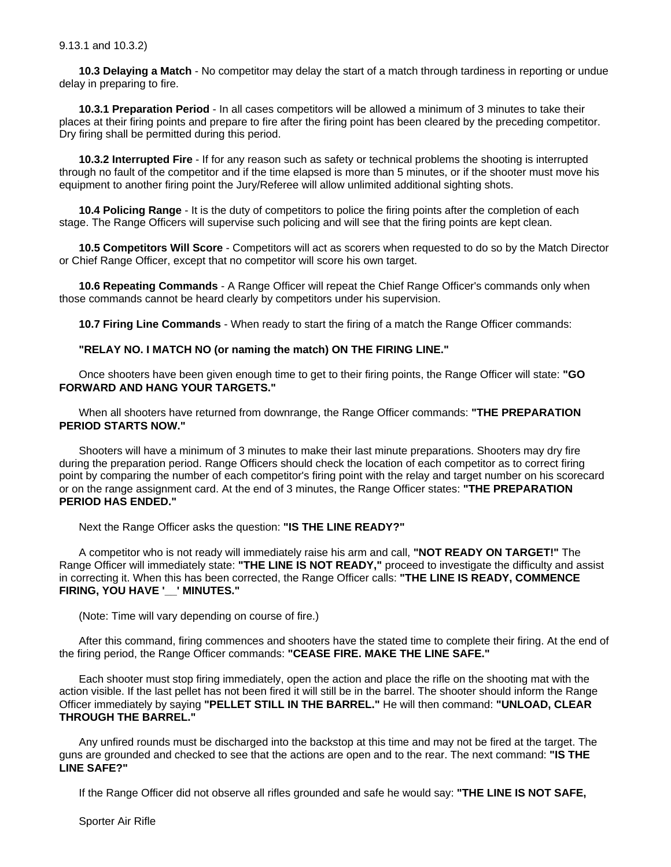#### 9.13.1 and 10.3.2)

**10.3 Delaying a Match** - No competitor may delay the start of a match through tardiness in reporting or undue delay in preparing to fire.

**10.3.1 Preparation Period** - In all cases competitors will be allowed a minimum of 3 minutes to take their places at their firing points and prepare to fire after the firing point has been cleared by the preceding competitor. Dry firing shall be permitted during this period.

**10.3.2 Interrupted Fire** - If for any reason such as safety or technical problems the shooting is interrupted through no fault of the competitor and if the time elapsed is more than 5 minutes, or if the shooter must move his equipment to another firing point the Jury/Referee will allow unlimited additional sighting shots.

**10.4 Policing Range** - It is the duty of competitors to police the firing points after the completion of each stage. The Range Officers will supervise such policing and will see that the firing points are kept clean.

**10.5 Competitors Will Score** - Competitors will act as scorers when requested to do so by the Match Director or Chief Range Officer, except that no competitor will score his own target.

**10.6 Repeating Commands** - A Range Officer will repeat the Chief Range Officer's commands only when those commands cannot be heard clearly by competitors under his supervision.

**10.7 Firing Line Commands** - When ready to start the firing of a match the Range Officer commands:

#### **"RELAY NO. I MATCH NO (or naming the match) ON THE FIRING LINE."**

Once shooters have been given enough time to get to their firing points, the Range Officer will state: **"GO FORWARD AND HANG YOUR TARGETS."**

When all shooters have returned from downrange, the Range Officer commands: **"THE PREPARATION PERIOD STARTS NOW."**

Shooters will have a minimum of 3 minutes to make their last minute preparations. Shooters may dry fire during the preparation period. Range Officers should check the location of each competitor as to correct firing point by comparing the number of each competitor's firing point with the relay and target number on his scorecard or on the range assignment card. At the end of 3 minutes, the Range Officer states: **"THE PREPARATION PERIOD HAS ENDED."**

Next the Range Officer asks the question: **"IS THE LINE READY?"**

A competitor who is not ready will immediately raise his arm and call, **"NOT READY ON TARGET!"** The Range Officer will immediately state: **"THE LINE IS NOT READY,"** proceed to investigate the difficulty and assist in correcting it. When this has been corrected, the Range Officer calls: **"THE LINE IS READY, COMMENCE FIRING, YOU HAVE '\_\_' MINUTES."**

(Note: Time will vary depending on course of fire.)

After this command, firing commences and shooters have the stated time to complete their firing. At the end of the firing period, the Range Officer commands: **"CEASE FIRE. MAKE THE LINE SAFE."**

Each shooter must stop firing immediately, open the action and place the rifle on the shooting mat with the action visible. If the last pellet has not been fired it will still be in the barrel. The shooter should inform the Range Officer immediately by saying **"PELLET STILL IN THE BARREL."** He will then command: **"UNLOAD, CLEAR THROUGH THE BARREL."**

Any unfired rounds must be discharged into the backstop at this time and may not be fired at the target. The guns are grounded and checked to see that the actions are open and to the rear. The next command: **"IS THE LINE SAFE?"**

If the Range Officer did not observe all rifles grounded and safe he would say: **"THE LINE IS NOT SAFE,**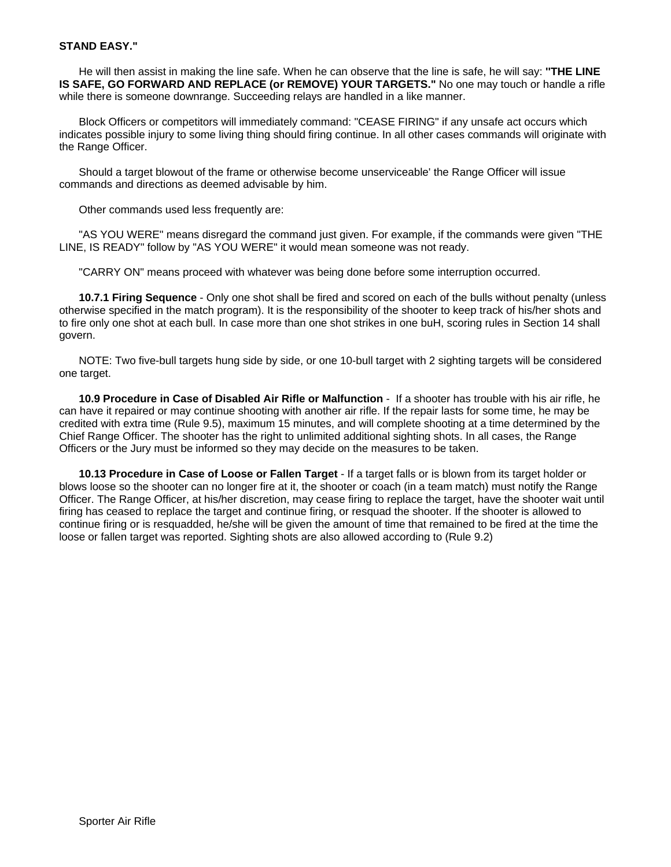# **STAND EASY."**

He will then assist in making the line safe. When he can observe that the line is safe, he will say: **''THE LINE IS SAFE, GO FORWARD AND REPLACE (or REMOVE) YOUR TARGETS."** No one may touch or handle a rifle while there is someone downrange. Succeeding relays are handled in a like manner.

Block Officers or competitors will immediately command: "CEASE FIRING" if any unsafe act occurs which indicates possible injury to some living thing should firing continue. In all other cases commands will originate with the Range Officer.

Should a target blowout of the frame or otherwise become unserviceable' the Range Officer will issue commands and directions as deemed advisable by him.

Other commands used less frequently are:

"AS YOU WERE" means disregard the command just given. For example, if the commands were given "THE LINE, IS READY" follow by "AS YOU WERE" it would mean someone was not ready.

"CARRY ON" means proceed with whatever was being done before some interruption occurred.

**10.7.1 Firing Sequence** - Only one shot shall be fired and scored on each of the bulls without penalty (unless otherwise specified in the match program). It is the responsibility of the shooter to keep track of his/her shots and to fire only one shot at each bull. In case more than one shot strikes in one buH, scoring rules in Section 14 shall govern.

NOTE: Two five-bull targets hung side by side, or one 10-bull target with 2 sighting targets will be considered one target.

**10.9 Procedure in Case of Disabled Air Rifle or Malfunction** - If a shooter has trouble with his air rifle, he can have it repaired or may continue shooting with another air rifle. If the repair lasts for some time, he may be credited with extra time (Rule 9.5), maximum 15 minutes, and will complete shooting at a time determined by the Chief Range Officer. The shooter has the right to unlimited additional sighting shots. In all cases, the Range Officers or the Jury must be informed so they may decide on the measures to be taken.

**10.13 Procedure in Case of Loose or Fallen Target** - If a target falls or is blown from its target holder or blows loose so the shooter can no longer fire at it, the shooter or coach (in a team match) must notify the Range Officer. The Range Officer, at his/her discretion, may cease firing to replace the target, have the shooter wait until firing has ceased to replace the target and continue firing, or resquad the shooter. If the shooter is allowed to continue firing or is resquadded, he/she will be given the amount of time that remained to be fired at the time the loose or fallen target was reported. Sighting shots are also allowed according to (Rule 9.2)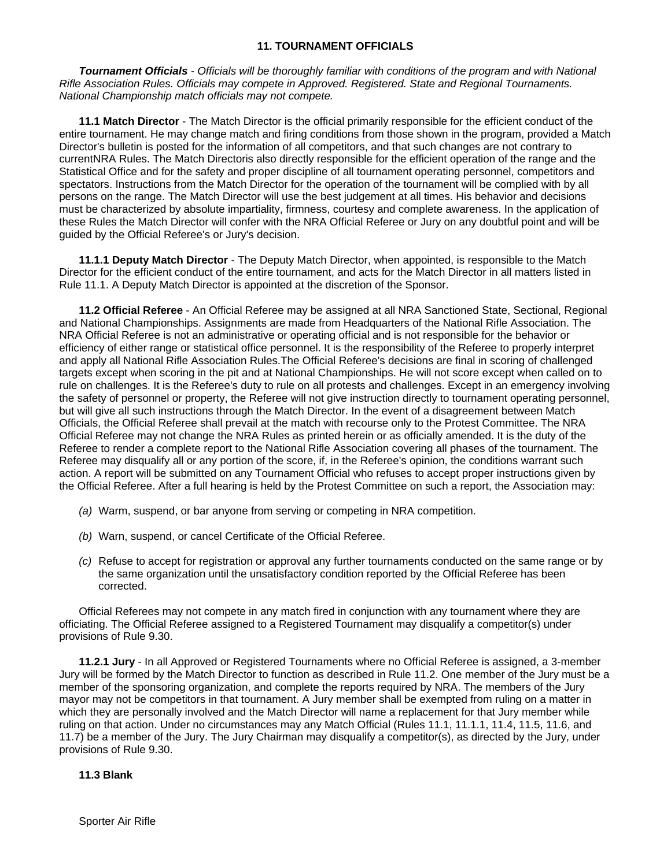# **11. TOURNAMENT OFFICIALS**

<span id="page-23-0"></span>*Tournament Officials - Officials will be thoroughly familiar with conditions of the program and with National Rifle Association Rules. Officials may compete in Approved. Registered. State and Regional Tournaments. National Championship match officials may not compete.*

**11.1 Match Director** - The Match Director is the official primarily responsible for the efficient conduct of the entire tournament. He may change match and firing conditions from those shown in the program, provided a Match Director's bulletin is posted for the information of all competitors, and that such changes are not contrary to currentNRA Rules. The Match Directoris also directly responsible for the efficient operation of the range and the Statistical Office and for the safety and proper discipline of all tournament operating personnel, competitors and spectators. Instructions from the Match Director for the operation of the tournament will be complied with by all persons on the range. The Match Director will use the best judgement at all times. His behavior and decisions must be characterized by absolute impartiality, firmness, courtesy and complete awareness. In the application of these Rules the Match Director will confer with the NRA Official Referee or Jury on any doubtful point and will be guided by the Official Referee's or Jury's decision.

**11.1.1 Deputy Match Director** - The Deputy Match Director, when appointed, is responsible to the Match Director for the efficient conduct of the entire tournament, and acts for the Match Director in all matters listed in Rule 11.1. A Deputy Match Director is appointed at the discretion of the Sponsor.

**11.2 Official Referee** - An Official Referee may be assigned at all NRA Sanctioned State, Sectional, Regional and National Championships. Assignments are made from Headquarters of the National Rifle Association. The NRA Official Referee is not an administrative or operating official and is not responsible for the behavior or efficiency of either range or statistical office personnel. It is the responsibility of the Referee to properly interpret and apply all National Rifle Association Rules.The Official Referee's decisions are final in scoring of challenged targets except when scoring in the pit and at National Championships. He will not score except when called on to rule on challenges. It is the Referee's duty to rule on all protests and challenges. Except in an emergency involving the safety of personnel or property, the Referee will not give instruction directly to tournament operating personnel, but will give all such instructions through the Match Director. In the event of a disagreement between Match Officials, the Official Referee shall prevail at the match with recourse only to the Protest Committee. The NRA Official Referee may not change the NRA Rules as printed herein or as officially amended. It is the duty of the Referee to render a complete report to the National Rifle Association covering all phases of the tournament. The Referee may disqualify all or any portion of the score, if, in the Referee's opinion, the conditions warrant such action. A report will be submitted on any Tournament Official who refuses to accept proper instructions given by the Official Referee. After a full hearing is held by the Protest Committee on such a report, the Association may:

- *(a)* Warm, suspend, or bar anyone from serving or competing in NRA competition.
- *(b)* Warn, suspend, or cancel Certificate of the Official Referee.
- *(c)* Refuse to accept for registration or approval any further tournaments conducted on the same range or by the same organization until the unsatisfactory condition reported by the Official Referee has been corrected.

Official Referees may not compete in any match fired in conjunction with any tournament where they are officiating. The Official Referee assigned to a Registered Tournament may disqualify a competitor(s) under provisions of Rule 9.30.

**11.2.1 Jury** - In all Approved or Registered Tournaments where no Official Referee is assigned, a 3-member Jury will be formed by the Match Director to function as described in Rule 11.2. One member of the Jury must be a member of the sponsoring organization, and complete the reports required by NRA. The members of the Jury mayor may not be competitors in that tournament. A Jury member shall be exempted from ruling on a matter in which they are personally involved and the Match Director will name a replacement for that Jury member while ruling on that action. Under no circumstances may any Match Official (Rules 11.1, 11.1.1, 11.4, 11.5, 11.6, and 11.7) be a member of the Jury. The Jury Chairman may disqualify a competitor(s), as directed by the Jury, under provisions of Rule 9.30.

### **11.3 Blank**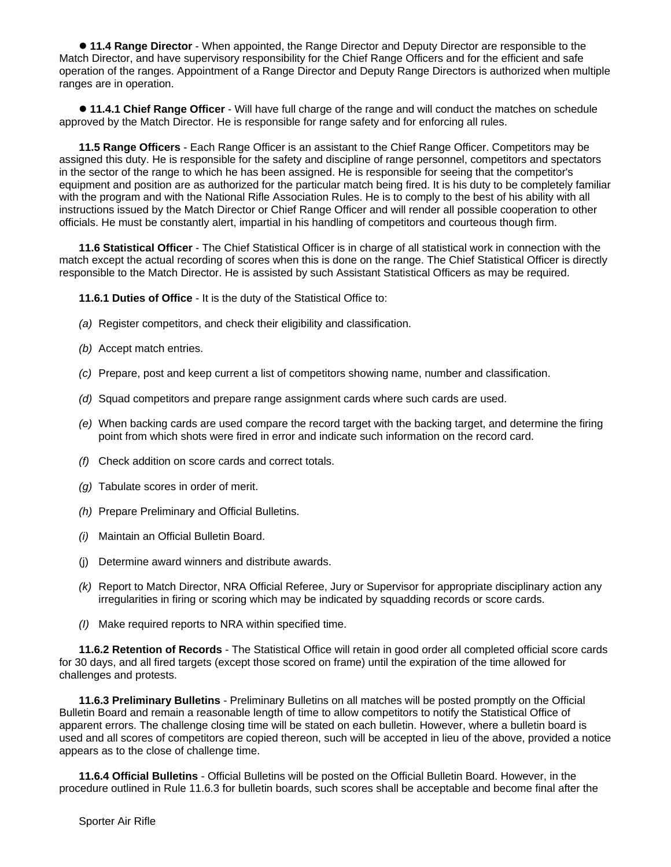**• 11.4 Range Director** - When appointed, the Range Director and Deputy Director are responsible to the Match Director, and have supervisory responsibility for the Chief Range Officers and for the efficient and safe operation of the ranges. Appointment of a Range Director and Deputy Range Directors is authorized when multiple ranges are in operation.

**• 11.4.1 Chief Range Officer** - Will have full charge of the range and will conduct the matches on schedule approved by the Match Director. He is responsible for range safety and for enforcing all rules.

**11.5 Range Officers** - Each Range Officer is an assistant to the Chief Range Officer. Competitors may be assigned this duty. He is responsible for the safety and discipline of range personnel, competitors and spectators in the sector of the range to which he has been assigned. He is responsible for seeing that the competitor's equipment and position are as authorized for the particular match being fired. It is his duty to be completely familiar with the program and with the National Rifle Association Rules. He is to comply to the best of his ability with all instructions issued by the Match Director or Chief Range Officer and will render all possible cooperation to other officials. He must be constantly alert, impartial in his handling of competitors and courteous though firm.

**11.6 Statistical Officer** - The Chief Statistical Officer is in charge of all statistical work in connection with the match except the actual recording of scores when this is done on the range. The Chief Statistical Officer is directly responsible to the Match Director. He is assisted by such Assistant Statistical Officers as may be required.

**11.6.1 Duties of Office** - It is the duty of the Statistical Office to:

- *(a)* Register competitors, and check their eligibility and classification.
- *(b)* Accept match entries.
- *(c)* Prepare, post and keep current a list of competitors showing name, number and classification.
- *(d)* Squad competitors and prepare range assignment cards where such cards are used.
- *(e)* When backing cards are used compare the record target with the backing target, and determine the firing point from which shots were fired in error and indicate such information on the record card.
- *(f)* Check addition on score cards and correct totals.
- *(g)* Tabulate scores in order of merit.
- *(h)* Prepare Preliminary and Official Bulletins.
- *(i)* Maintain an Official Bulletin Board.
- (j) Determine award winners and distribute awards.
- *(k)* Report to Match Director, NRA Official Referee, Jury or Supervisor for appropriate disciplinary action any irregularities in firing or scoring which may be indicated by squadding records or score cards.
- *(I)* Make required reports to NRA within specified time.

**11.6.2 Retention of Records** - The Statistical Office will retain in good order all completed official score cards for 30 days, and all fired targets (except those scored on frame) until the expiration of the time allowed for challenges and protests.

**11.6.3 Preliminary Bulletins** - Preliminary Bulletins on all matches will be posted promptly on the Official Bulletin Board and remain a reasonable length of time to allow competitors to notify the Statistical Office of apparent errors. The challenge closing time will be stated on each bulletin. However, where a bulletin board is used and all scores of competitors are copied thereon, such will be accepted in lieu of the above, provided a notice appears as to the close of challenge time.

**11.6.4 Official Bulletins** - Official Bulletins will be posted on the Official Bulletin Board. However, in the procedure outlined in Rule 11.6.3 for bulletin boards, such scores shall be acceptable and become final after the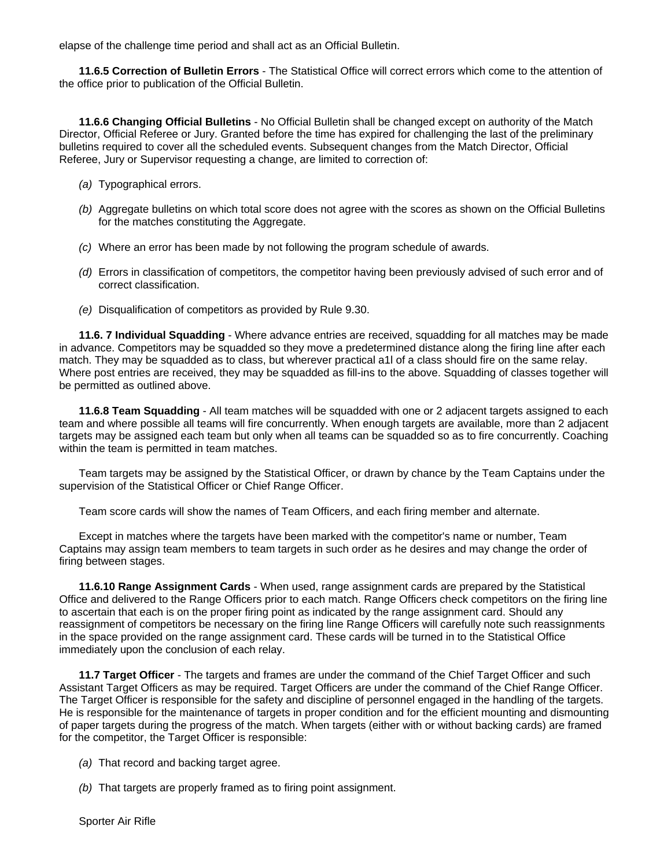elapse of the challenge time period and shall act as an Official Bulletin.

**11.6.5 Correction of Bulletin Errors** - The Statistical Office will correct errors which come to the attention of the office prior to publication of the Official Bulletin.

**11.6.6 Changing Official Bulletins** - No Official Bulletin shall be changed except on authority of the Match Director, Official Referee or Jury. Granted before the time has expired for challenging the last of the preliminary bulletins required to cover all the scheduled events. Subsequent changes from the Match Director, Official Referee, Jury or Supervisor requesting a change, are limited to correction of:

- *(a)* Typographical errors.
- *(b)* Aggregate bulletins on which total score does not agree with the scores as shown on the Official Bulletins for the matches constituting the Aggregate.
- *(c)* Where an error has been made by not following the program schedule of awards.
- *(d)* Errors in classification of competitors, the competitor having been previously advised of such error and of correct classification.
- *(e)* Disqualification of competitors as provided by Rule 9.30.

**11.6. 7 Individual Squadding** - Where advance entries are received, squadding for all matches may be made in advance. Competitors may be squadded so they move a predetermined distance along the firing line after each match. They may be squadded as to class, but wherever practical a1l of a class should fire on the same relay. Where post entries are received, they may be squadded as fill-ins to the above. Squadding of classes together will be permitted as outlined above.

**11.6.8 Team Squadding** - All team matches will be squadded with one or 2 adjacent targets assigned to each team and where possible all teams will fire concurrently. When enough targets are available, more than 2 adjacent targets may be assigned each team but only when all teams can be squadded so as to fire concurrently. Coaching within the team is permitted in team matches.

Team targets may be assigned by the Statistical Officer, or drawn by chance by the Team Captains under the supervision of the Statistical Officer or Chief Range Officer.

Team score cards will show the names of Team Officers, and each firing member and alternate.

Except in matches where the targets have been marked with the competitor's name or number, Team Captains may assign team members to team targets in such order as he desires and may change the order of firing between stages.

**11.6.10 Range Assignment Cards** - When used, range assignment cards are prepared by the Statistical Office and delivered to the Range Officers prior to each match. Range Officers check competitors on the firing line to ascertain that each is on the proper firing point as indicated by the range assignment card. Should any reassignment of competitors be necessary on the firing line Range Officers will carefully note such reassignments in the space provided on the range assignment card. These cards will be turned in to the Statistical Office immediately upon the conclusion of each relay.

**11.7 Target Officer** - The targets and frames are under the command of the Chief Target Officer and such Assistant Target Officers as may be required. Target Officers are under the command of the Chief Range Officer. The Target Officer is responsible for the safety and discipline of personnel engaged in the handling of the targets. He is responsible for the maintenance of targets in proper condition and for the efficient mounting and dismounting of paper targets during the progress of the match. When targets (either with or without backing cards) are framed for the competitor, the Target Officer is responsible:

- *(a)* That record and backing target agree.
- *(b)* That targets are properly framed as to firing point assignment.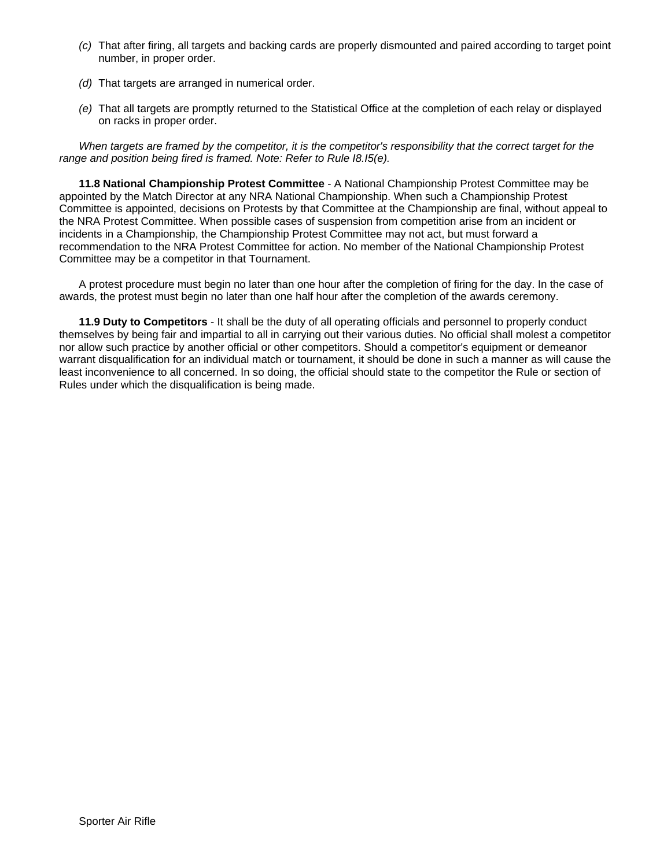- *(c)* That after firing, all targets and backing cards are properly dismounted and paired according to target point number, in proper order.
- *(d)* That targets are arranged in numerical order.
- *(e)* That all targets are promptly returned to the Statistical Office at the completion of each relay or displayed on racks in proper order.

*When targets are framed by the competitor, it is the competitor's responsibility that the correct target for the range and position being fired is framed. Note: Refer to Rule I8.I5(e).*

**11.8 National Championship Protest Committee** - A National Championship Protest Committee may be appointed by the Match Director at any NRA National Championship. When such a Championship Protest Committee is appointed, decisions on Protests by that Committee at the Championship are final, without appeal to the NRA Protest Committee. When possible cases of suspension from competition arise from an incident or incidents in a Championship, the Championship Protest Committee may not act, but must forward a recommendation to the NRA Protest Committee for action. No member of the National Championship Protest Committee may be a competitor in that Tournament.

A protest procedure must begin no later than one hour after the completion of firing for the day. In the case of awards, the protest must begin no later than one half hour after the completion of the awards ceremony.

**11.9 Duty to Competitors** - It shall be the duty of all operating officials and personnel to properly conduct themselves by being fair and impartial to all in carrying out their various duties. No official shall molest a competitor nor allow such practice by another official or other competitors. Should a competitor's equipment or demeanor warrant disqualification for an individual match or tournament, it should be done in such a manner as will cause the least inconvenience to all concerned. In so doing, the official should state to the competitor the Rule or section of Rules under which the disqualification is being made.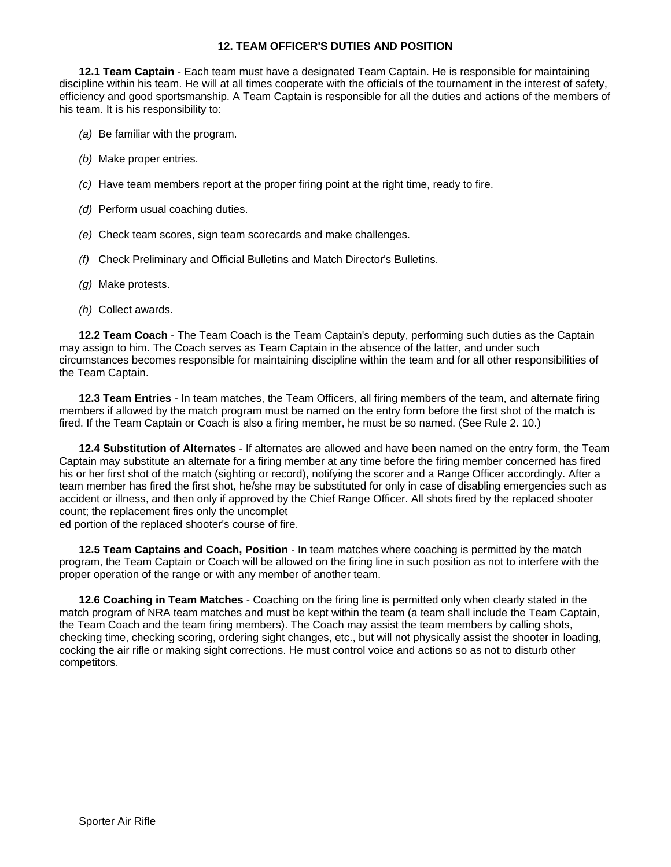## **12. TEAM OFFICER'S DUTIES AND POSITION**

<span id="page-27-0"></span>**12.1 Team Captain** - Each team must have a designated Team Captain. He is responsible for maintaining discipline within his team. He will at all times cooperate with the officials of the tournament in the interest of safety, efficiency and good sportsmanship. A Team Captain is responsible for all the duties and actions of the members of his team. It is his responsibility to:

- *(a)* Be familiar with the program.
- *(b)* Make proper entries.
- *(c)* Have team members report at the proper firing point at the right time, ready to fire.
- *(d)* Perform usual coaching duties.
- *(e)* Check team scores, sign team scorecards and make challenges.
- *(f)* Check Preliminary and Official Bulletins and Match Director's Bulletins.
- *(g)* Make protests.
- *(h)* Collect awards.

**12.2 Team Coach** - The Team Coach is the Team Captain's deputy, performing such duties as the Captain may assign to him. The Coach serves as Team Captain in the absence of the latter, and under such circumstances becomes responsible for maintaining discipline within the team and for all other responsibilities of the Team Captain.

**12.3 Team Entries** - In team matches, the Team Officers, all firing members of the team, and alternate firing members if allowed by the match program must be named on the entry form before the first shot of the match is fired. If the Team Captain or Coach is also a firing member, he must be so named. (See Rule 2. 10.)

**12.4 Substitution of Alternates** - If alternates are allowed and have been named on the entry form, the Team Captain may substitute an alternate for a firing member at any time before the firing member concerned has fired his or her first shot of the match (sighting or record), notifying the scorer and a Range Officer accordingly. After a team member has fired the first shot, he/she may be substituted for only in case of disabling emergencies such as accident or illness, and then only if approved by the Chief Range Officer. All shots fired by the replaced shooter count; the replacement fires only the uncomplet

ed portion of the replaced shooter's course of fire.

**12.5 Team Captains and Coach, Position** - In team matches where coaching is permitted by the match program, the Team Captain or Coach will be allowed on the firing line in such position as not to interfere with the proper operation of the range or with any member of another team.

**12.6 Coaching in Team Matches** - Coaching on the firing line is permitted only when clearly stated in the match program of NRA team matches and must be kept within the team (a team shall include the Team Captain, the Team Coach and the team firing members). The Coach may assist the team members by calling shots, checking time, checking scoring, ordering sight changes, etc., but will not physically assist the shooter in loading, cocking the air rifle or making sight corrections. He must control voice and actions so as not to disturb other competitors.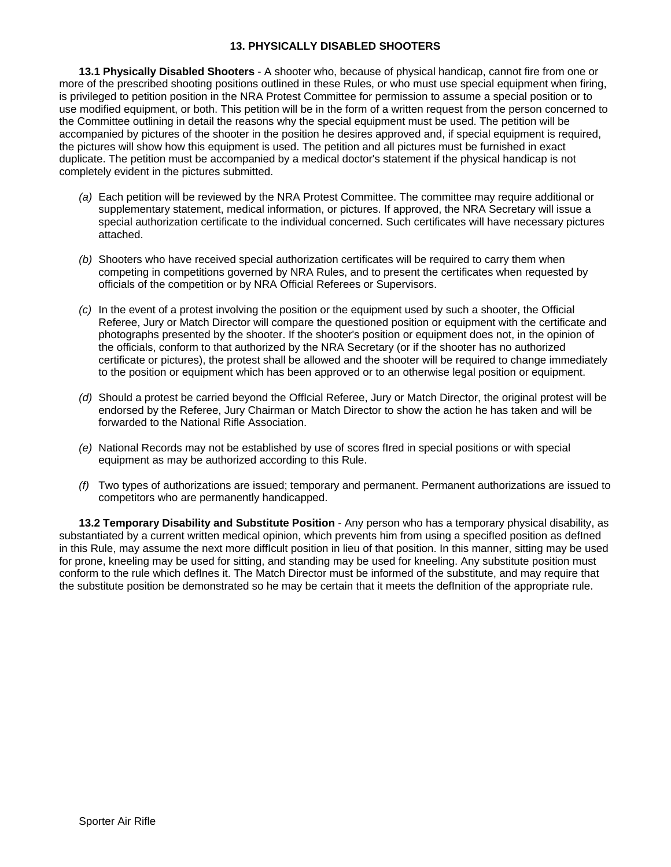# **13. PHYSICALLY DISABLED SHOOTERS**

<span id="page-28-0"></span>**13.1 Physically Disabled Shooters** - A shooter who, because of physical handicap, cannot fire from one or more of the prescribed shooting positions outlined in these Rules, or who must use special equipment when firing, is privileged to petition position in the NRA Protest Committee for permission to assume a special position or to use modified equipment, or both. This petition will be in the form of a written request from the person concerned to the Committee outlining in detail the reasons why the special equipment must be used. The petition will be accompanied by pictures of the shooter in the position he desires approved and, if special equipment is required, the pictures will show how this equipment is used. The petition and all pictures must be furnished in exact duplicate. The petition must be accompanied by a medical doctor's statement if the physical handicap is not completely evident in the pictures submitted.

- *(a)* Each petition will be reviewed by the NRA Protest Committee. The committee may require additional or supplementary statement, medical information, or pictures. If approved, the NRA Secretary will issue a special authorization certificate to the individual concerned. Such certificates will have necessary pictures attached.
- *(b)* Shooters who have received special authorization certificates will be required to carry them when competing in competitions governed by NRA Rules, and to present the certificates when requested by officials of the competition or by NRA Official Referees or Supervisors.
- *(c)* In the event of a protest involving the position or the equipment used by such a shooter, the Official Referee, Jury or Match Director will compare the questioned position or equipment with the certificate and photographs presented by the shooter. If the shooter's position or equipment does not, in the opinion of the officials, conform to that authorized by the NRA Secretary (or if the shooter has no authorized certificate or pictures), the protest shall be allowed and the shooter will be required to change immediately to the position or equipment which has been approved or to an otherwise legal position or equipment.
- *(d)* Should a protest be carried beyond the OffIcial Referee, Jury or Match Director, the original protest will be endorsed by the Referee, Jury Chairman or Match Director to show the action he has taken and will be forwarded to the National Rifle Association.
- *(e)* National Records may not be established by use of scores fIred in special positions or with special equipment as may be authorized according to this Rule.
- *(f)* Two types of authorizations are issued; temporary and permanent. Permanent authorizations are issued to competitors who are permanently handicapped.

**13.2 Temporary Disability and Substitute Position** - Any person who has a temporary physical disability, as substantiated by a current written medical opinion, which prevents him from using a specified position as defined in this Rule, may assume the next more diffIcult position in lieu of that position. In this manner, sitting may be used for prone, kneeling may be used for sitting, and standing may be used for kneeling. Any substitute position must conform to the rule which defInes it. The Match Director must be informed of the substitute, and may require that the substitute position be demonstrated so he may be certain that it meets the defInition of the appropriate rule.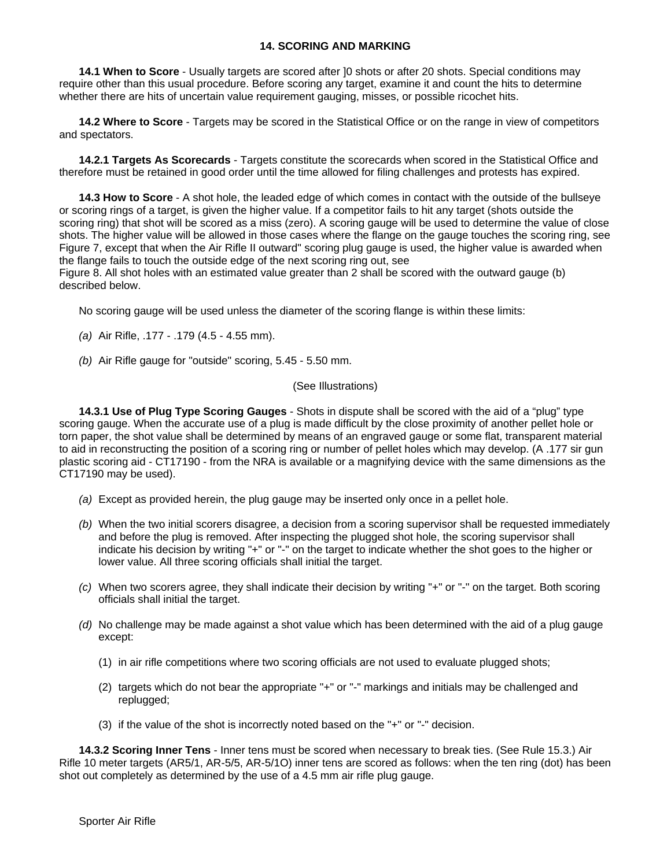### **14. SCORING AND MARKING**

<span id="page-29-0"></span>**14.1 When to Score** - Usually targets are scored after ]0 shots or after 20 shots. Special conditions may require other than this usual procedure. Before scoring any target, examine it and count the hits to determine whether there are hits of uncertain value requirement gauging, misses, or possible ricochet hits.

**14.2 Where to Score** - Targets may be scored in the Statistical Office or on the range in view of competitors and spectators.

**14.2.1 Targets As Scorecards** - Targets constitute the scorecards when scored in the Statistical Office and therefore must be retained in good order until the time allowed for filing challenges and protests has expired.

**14.3 How to Score** - A shot hole, the leaded edge of which comes in contact with the outside of the bullseye or scoring rings of a target, is given the higher value. If a competitor fails to hit any target (shots outside the scoring ring) that shot will be scored as a miss (zero). A scoring gauge will be used to determine the value of close shots. The higher value will be allowed in those cases where the flange on the gauge touches the scoring ring, see Figure 7, except that when the Air Rifle II outward" scoring plug gauge is used, the higher value is awarded when the flange fails to touch the outside edge of the next scoring ring out, see

Figure 8. All shot holes with an estimated value greater than 2 shall be scored with the outward gauge (b) described below.

No scoring gauge will be used unless the diameter of the scoring flange is within these limits:

- *(a)* Air Rifle, .177 .179 (4.5 4.55 mm).
- *(b)* Air Rifle gauge for "outside" scoring, 5.45 5.50 mm.

#### (See Illustrations)

**14.3.1 Use of Plug Type Scoring Gauges** - Shots in dispute shall be scored with the aid of a "plug" type scoring gauge. When the accurate use of a plug is made difficult by the close proximity of another pellet hole or torn paper, the shot value shall be determined by means of an engraved gauge or some flat, transparent material to aid in reconstructing the position of a scoring ring or number of pellet holes which may develop. (A .177 sir gun plastic scoring aid - CT17190 - from the NRA is available or a magnifying device with the same dimensions as the CT17190 may be used).

- *(a)* Except as provided herein, the plug gauge may be inserted only once in a pellet hole.
- *(b)* When the two initial scorers disagree, a decision from a scoring supervisor shall be requested immediately and before the plug is removed. After inspecting the plugged shot hole, the scoring supervisor shall indicate his decision by writing "+" or "-" on the target to indicate whether the shot goes to the higher or lower value. All three scoring officials shall initial the target.
- *(c)* When two scorers agree, they shall indicate their decision by writing "+" or "-" on the target. Both scoring officials shall initial the target.
- *(d)* No challenge may be made against a shot value which has been determined with the aid of a plug gauge except:
	- (1) in air rifle competitions where two scoring officials are not used to evaluate plugged shots;
	- (2) targets which do not bear the appropriate "+" or "-" markings and initials may be challenged and replugged;
	- (3) if the value of the shot is incorrectly noted based on the "+" or "-" decision.

**14.3.2 Scoring Inner Tens** - Inner tens must be scored when necessary to break ties. (See Rule 15.3.) Air Rifle 10 meter targets (AR5/1, AR-5/5, AR-5/1O) inner tens are scored as follows: when the ten ring (dot) has been shot out completely as determined by the use of a 4.5 mm air rifle plug gauge.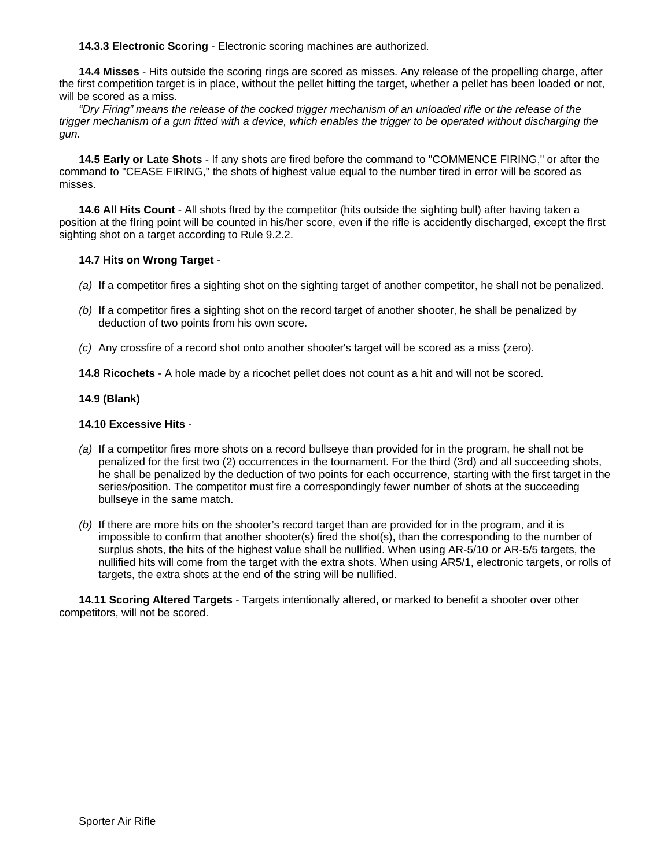**14.3.3 Electronic Scoring** - Electronic scoring machines are authorized.

**14.4 Misses** - Hits outside the scoring rings are scored as misses. Any release of the propelling charge, after the first competition target is in place, without the pellet hitting the target, whether a pellet has been loaded or not, will be scored as a miss.

*"Dry Firing" means the release of the cocked trigger mechanism of an unloaded rifle or the release of the trigger mechanism of a gun fitted with a device, which enables the trigger to be operated without discharging the gun.*

**14.5 Early or Late Shots** - If any shots are fired before the command to "COMMENCE FIRING," or after the command to "CEASE FIRING," the shots of highest value equal to the number tired in error will be scored as misses.

**14.6 All Hits Count** - All shots fIred by the competitor (hits outside the sighting bull) after having taken a position at the fIring point will be counted in his/her score, even if the rifle is accidently discharged, except the fIrst sighting shot on a target according to Rule 9.2.2.

### **14.7 Hits on Wrong Target** -

- *(a)* If a competitor fires a sighting shot on the sighting target of another competitor, he shall not be penalized.
- *(b)* If a competitor fires a sighting shot on the record target of another shooter, he shall be penalized by deduction of two points from his own score.
- *(c)* Any crossfire of a record shot onto another shooter's target will be scored as a miss (zero).

**14.8 Ricochets** - A hole made by a ricochet pellet does not count as a hit and will not be scored.

#### **14.9 (Blank)**

### **14.10 Excessive Hits** -

- *(a)* If a competitor fires more shots on a record bullseye than provided for in the program, he shall not be penalized for the first two (2) occurrences in the tournament. For the third (3rd) and all succeeding shots, he shall be penalized by the deduction of two points for each occurrence, starting with the first target in the series/position. The competitor must fire a correspondingly fewer number of shots at the succeeding bullseye in the same match.
- *(b)* If there are more hits on the shooter's record target than are provided for in the program, and it is impossible to confirm that another shooter(s) fired the shot(s), than the corresponding to the number of surplus shots, the hits of the highest value shall be nullified. When using AR-5/10 or AR-5/5 targets, the nullified hits will come from the target with the extra shots. When using AR5/1, electronic targets, or rolls of targets, the extra shots at the end of the string will be nullified.

**14.11 Scoring Altered Targets** - Targets intentionally altered, or marked to benefit a shooter over other competitors, will not be scored.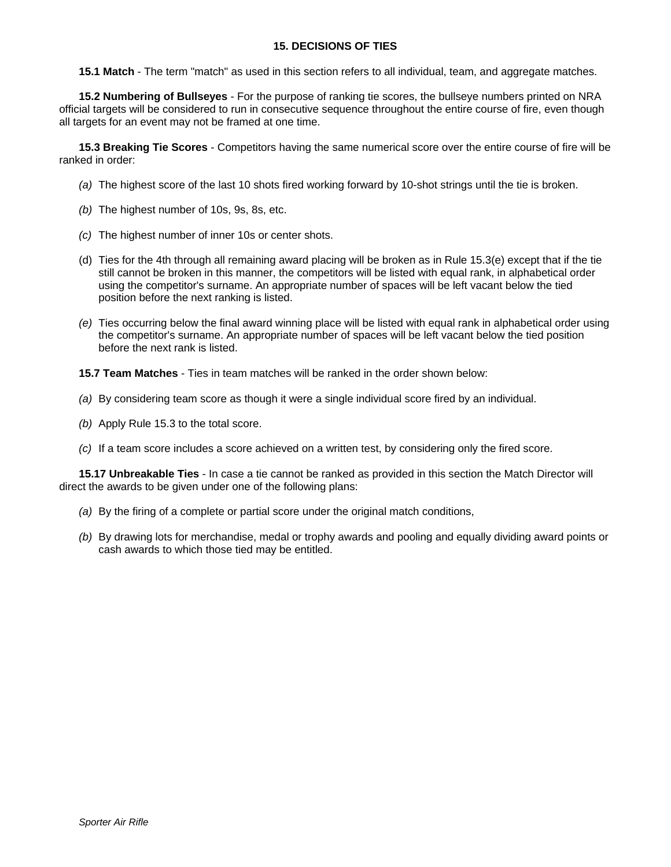# **15. DECISIONS OF TIES**

<span id="page-31-0"></span>**15.1 Match** - The term "match" as used in this section refers to all individual, team, and aggregate matches.

**15.2 Numbering of Bullseyes** - For the purpose of ranking tie scores, the bullseye numbers printed on NRA official targets will be considered to run in consecutive sequence throughout the entire course of fire, even though all targets for an event may not be framed at one time.

**15.3 Breaking Tie Scores** - Competitors having the same numerical score over the entire course of fire will be ranked in order:

- *(a)* The highest score of the last 10 shots fired working forward by 10-shot strings until the tie is broken.
- *(b)* The highest number of 10s, 9s, 8s, etc.
- *(c)* The highest number of inner 10s or center shots.
- (d) Ties for the 4th through all remaining award placing will be broken as in Rule 15.3(e) except that if the tie still cannot be broken in this manner, the competitors will be listed with equal rank, in alphabetical order using the competitor's surname. An appropriate number of spaces will be left vacant below the tied position before the next ranking is listed.
- *(e)* Ties occurring below the final award winning place will be listed with equal rank in alphabetical order using the competitor's surname. An appropriate number of spaces will be left vacant below the tied position before the next rank is listed.

**15.7 Team Matches** - Ties in team matches will be ranked in the order shown below:

- *(a)* By considering team score as though it were a single individual score fired by an individual.
- *(b)* Apply Rule 15.3 to the total score.
- *(c)* If a team score includes a score achieved on a written test, by considering only the fired score.

**15.17 Unbreakable Ties** - In case a tie cannot be ranked as provided in this section the Match Director will direct the awards to be given under one of the following plans:

- *(a)* By the firing of a complete or partial score under the original match conditions,
- *(b)* By drawing lots for merchandise, medal or trophy awards and pooling and equally dividing award points or cash awards to which those tied may be entitled.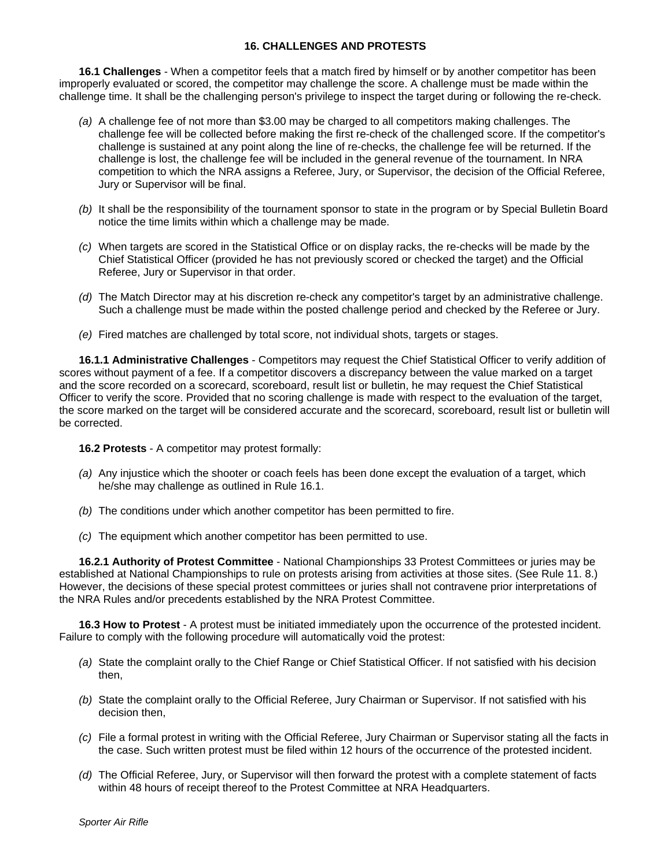# **16. CHALLENGES AND PROTESTS**

<span id="page-32-0"></span>**16.1 Challenges** - When a competitor feels that a match fired by himself or by another competitor has been improperly evaluated or scored, the competitor may challenge the score. A challenge must be made within the challenge time. It shall be the challenging person's privilege to inspect the target during or following the re-check.

- *(a)* A challenge fee of not more than \$3.00 may be charged to all competitors making challenges. The challenge fee will be collected before making the first re-check of the challenged score. If the competitor's challenge is sustained at any point along the line of re-checks, the challenge fee will be returned. If the challenge is lost, the challenge fee will be included in the general revenue of the tournament. In NRA competition to which the NRA assigns a Referee, Jury, or Supervisor, the decision of the Official Referee, Jury or Supervisor will be final.
- *(b)* It shall be the responsibility of the tournament sponsor to state in the program or by Special Bulletin Board notice the time limits within which a challenge may be made.
- *(c)* When targets are scored in the Statistical Office or on display racks, the re-checks will be made by the Chief Statistical Officer (provided he has not previously scored or checked the target) and the Official Referee, Jury or Supervisor in that order.
- *(d)* The Match Director may at his discretion re-check any competitor's target by an administrative challenge. Such a challenge must be made within the posted challenge period and checked by the Referee or Jury.
- *(e)* Fired matches are challenged by total score, not individual shots, targets or stages.

**16.1.1 Administrative Challenges** - Competitors may request the Chief Statistical Officer to verify addition of scores without payment of a fee. If a competitor discovers a discrepancy between the value marked on a target and the score recorded on a scorecard, scoreboard, result list or bulletin, he may request the Chief Statistical Officer to verify the score. Provided that no scoring challenge is made with respect to the evaluation of the target, the score marked on the target will be considered accurate and the scorecard, scoreboard, result list or bulletin will be corrected.

**16.2 Protests** - A competitor may protest formally:

- *(a)* Any injustice which the shooter or coach feels has been done except the evaluation of a target, which he/she may challenge as outlined in Rule 16.1.
- *(b)* The conditions under which another competitor has been permitted to fire.
- *(c)* The equipment which another competitor has been permitted to use.

**16.2.1 Authority of Protest Committee** - National Championships 33 Protest Committees or juries may be established at National Championships to rule on protests arising from activities at those sites. (See Rule 11. 8.) However, the decisions of these special protest committees or juries shall not contravene prior interpretations of the NRA Rules and/or precedents established by the NRA Protest Committee.

**16.3 How to Protest** - A protest must be initiated immediately upon the occurrence of the protested incident. Failure to comply with the following procedure will automatically void the protest:

- *(a)* State the complaint orally to the Chief Range or Chief Statistical Officer. If not satisfied with his decision then,
- *(b)* State the complaint orally to the Official Referee, Jury Chairman or Supervisor. If not satisfied with his decision then,
- *(c)* File a formal protest in writing with the Official Referee, Jury Chairman or Supervisor stating all the facts in the case. Such written protest must be filed within 12 hours of the occurrence of the protested incident.
- *(d)* The Official Referee, Jury, or Supervisor will then forward the protest with a complete statement of facts within 48 hours of receipt thereof to the Protest Committee at NRA Headquarters.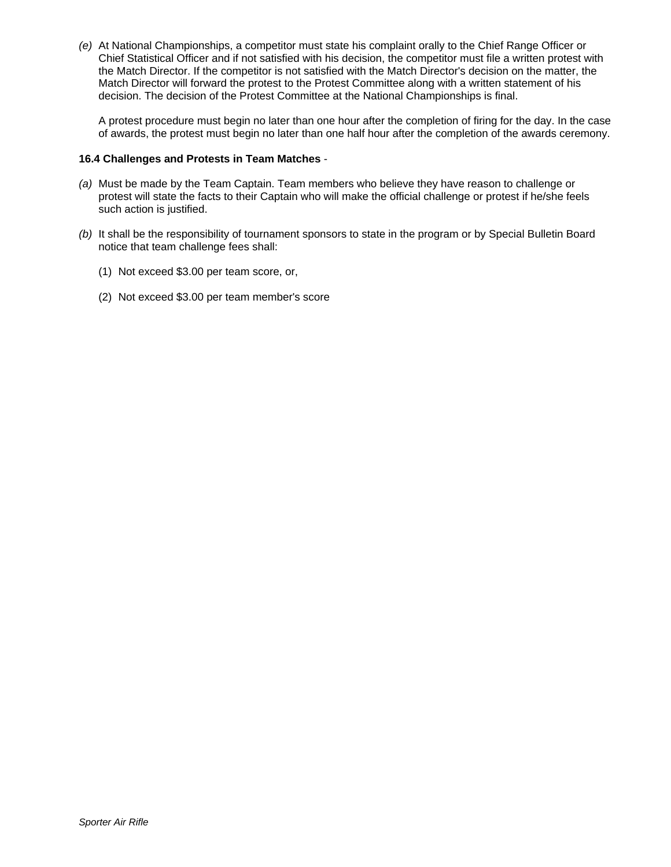*(e)* At National Championships, a competitor must state his complaint orally to the Chief Range Officer or Chief Statistical Officer and if not satisfied with his decision, the competitor must file a written protest with the Match Director. If the competitor is not satisfied with the Match Director's decision on the matter, the Match Director will forward the protest to the Protest Committee along with a written statement of his decision. The decision of the Protest Committee at the National Championships is final.

A protest procedure must begin no later than one hour after the completion of firing for the day. In the case of awards, the protest must begin no later than one half hour after the completion of the awards ceremony.

# **16.4 Challenges and Protests in Team Matches** -

- *(a)* Must be made by the Team Captain. Team members who believe they have reason to challenge or protest will state the facts to their Captain who will make the official challenge or protest if he/she feels such action is justified.
- *(b)* It shall be the responsibility of tournament sponsors to state in the program or by Special Bulletin Board notice that team challenge fees shall:
	- (1) Not exceed \$3.00 per team score, or,
	- (2) Not exceed \$3.00 per team member's score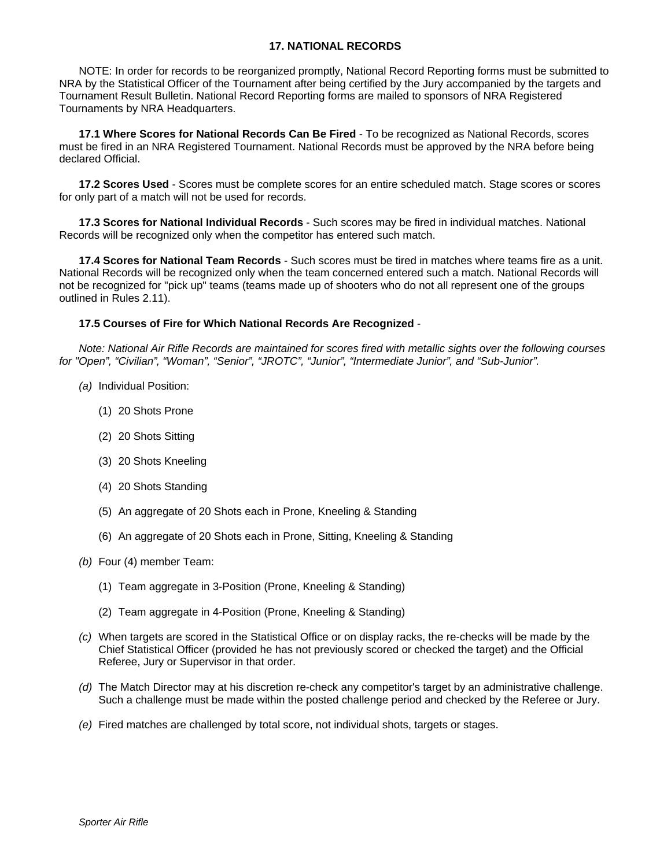# **17. NATIONAL RECORDS**

<span id="page-34-0"></span>NOTE: In order for records to be reorganized promptly, National Record Reporting forms must be submitted to NRA by the Statistical Officer of the Tournament after being certified by the Jury accompanied by the targets and Tournament Result Bulletin. National Record Reporting forms are mailed to sponsors of NRA Registered Tournaments by NRA Headquarters.

**17.1 Where Scores for National Records Can Be Fired** - To be recognized as National Records, scores must be fired in an NRA Registered Tournament. National Records must be approved by the NRA before being declared Official.

**17.2 Scores Used** - Scores must be complete scores for an entire scheduled match. Stage scores or scores for only part of a match will not be used for records.

**17.3 Scores for National Individual Records** - Such scores may be fired in individual matches. National Records will be recognized only when the competitor has entered such match.

**17.4 Scores for National Team Records** - Such scores must be tired in matches where teams fire as a unit. National Records will be recognized only when the team concerned entered such a match. National Records will not be recognized for "pick up" teams (teams made up of shooters who do not all represent one of the groups outlined in Rules 2.11).

### **17.5 Courses of Fire for Which National Records Are Recognized** -

*Note: National Air Rifle Records are maintained for scores fired with metallic sights over the following courses for "Open", "Civilian", "Woman", "Senior", "JROTC", "Junior", "Intermediate Junior", and "Sub-Junior".*

- *(a)* Individual Position:
	- (1) 20 Shots Prone
	- (2) 20 Shots Sitting
	- (3) 20 Shots Kneeling
	- (4) 20 Shots Standing
	- (5) An aggregate of 20 Shots each in Prone, Kneeling & Standing
	- (6) An aggregate of 20 Shots each in Prone, Sitting, Kneeling & Standing
- *(b)* Four (4) member Team:
	- (1) Team aggregate in 3-Position (Prone, Kneeling & Standing)
	- (2) Team aggregate in 4-Position (Prone, Kneeling & Standing)
- *(c)* When targets are scored in the Statistical Office or on display racks, the re-checks will be made by the Chief Statistical Officer (provided he has not previously scored or checked the target) and the Official Referee, Jury or Supervisor in that order.
- *(d)* The Match Director may at his discretion re-check any competitor's target by an administrative challenge. Such a challenge must be made within the posted challenge period and checked by the Referee or Jury.
- *(e)* Fired matches are challenged by total score, not individual shots, targets or stages.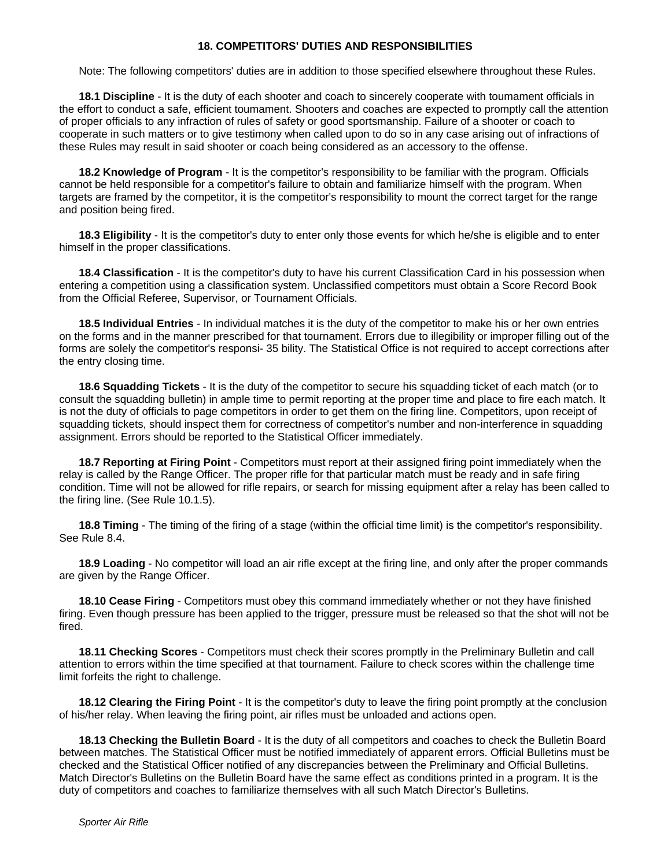### **18. COMPETITORS' DUTIES AND RESPONSIBILITIES**

<span id="page-35-0"></span>Note: The following competitors' duties are in addition to those specified elsewhere throughout these Rules.

**18.1 Discipline** - It is the duty of each shooter and coach to sincerely cooperate with toumament officials in the effort to conduct a safe, efficient toumament. Shooters and coaches are expected to promptly call the attention of proper officials to any infraction of rules of safety or good sportsmanship. Failure of a shooter or coach to cooperate in such matters or to give testimony when called upon to do so in any case arising out of infractions of these Rules may result in said shooter or coach being considered as an accessory to the offense.

**18.2 Knowledge of Program** - It is the competitor's responsibility to be familiar with the program. Officials cannot be held responsible for a competitor's failure to obtain and familiarize himself with the program. When targets are framed by the competitor, it is the competitor's responsibility to mount the correct target for the range and position being fired.

**18.3 Eligibility** - It is the competitor's duty to enter only those events for which he/she is eligible and to enter himself in the proper classifications.

**18.4 Classification** - It is the competitor's duty to have his current Classification Card in his possession when entering a competition using a classification system. Unclassified competitors must obtain a Score Record Book from the Official Referee, Supervisor, or Tournament Officials.

**18.5 Individual Entries** - In individual matches it is the duty of the competitor to make his or her own entries on the forms and in the manner prescribed for that tournament. Errors due to illegibility or improper filling out of the forms are solely the competitor's responsi- 35 bility. The Statistical Office is not required to accept corrections after the entry closing time.

**18.6 Squadding Tickets** - It is the duty of the competitor to secure his squadding ticket of each match (or to consult the squadding bulletin) in ample time to permit reporting at the proper time and place to fire each match. It is not the duty of officials to page competitors in order to get them on the firing line. Competitors, upon receipt of squadding tickets, should inspect them for correctness of competitor's number and non-interference in squadding assignment. Errors should be reported to the Statistical Officer immediately.

**18.7 Reporting at Firing Point** - Competitors must report at their assigned firing point immediately when the relay is called by the Range Officer. The proper rifle for that particular match must be ready and in safe firing condition. Time will not be allowed for rifle repairs, or search for missing equipment after a relay has been called to the firing line. (See Rule 10.1.5).

**18.8 Timing** - The timing of the firing of a stage (within the official time limit) is the competitor's responsibility. See Rule 8.4.

**18.9 Loading** - No competitor will load an air rifle except at the firing line, and only after the proper commands are given by the Range Officer.

**18.10 Cease Firing** - Competitors must obey this command immediately whether or not they have finished firing. Even though pressure has been applied to the trigger, pressure must be released so that the shot will not be fired.

**18.11 Checking Scores** - Competitors must check their scores promptly in the Preliminary Bulletin and call attention to errors within the time specified at that tournament. Failure to check scores within the challenge time limit forfeits the right to challenge.

**18.12 Clearing the Firing Point** - It is the competitor's duty to leave the firing point promptly at the conclusion of his/her relay. When leaving the firing point, air rifles must be unloaded and actions open.

**18.13 Checking the Bulletin Board** - It is the duty of all competitors and coaches to check the Bulletin Board between matches. The Statistical Officer must be notified immediately of apparent errors. Official Bulletins must be checked and the Statistical Officer notified of any discrepancies between the Preliminary and Official Bulletins. Match Director's Bulletins on the Bulletin Board have the same effect as conditions printed in a program. It is the duty of competitors and coaches to familiarize themselves with all such Match Director's Bulletins.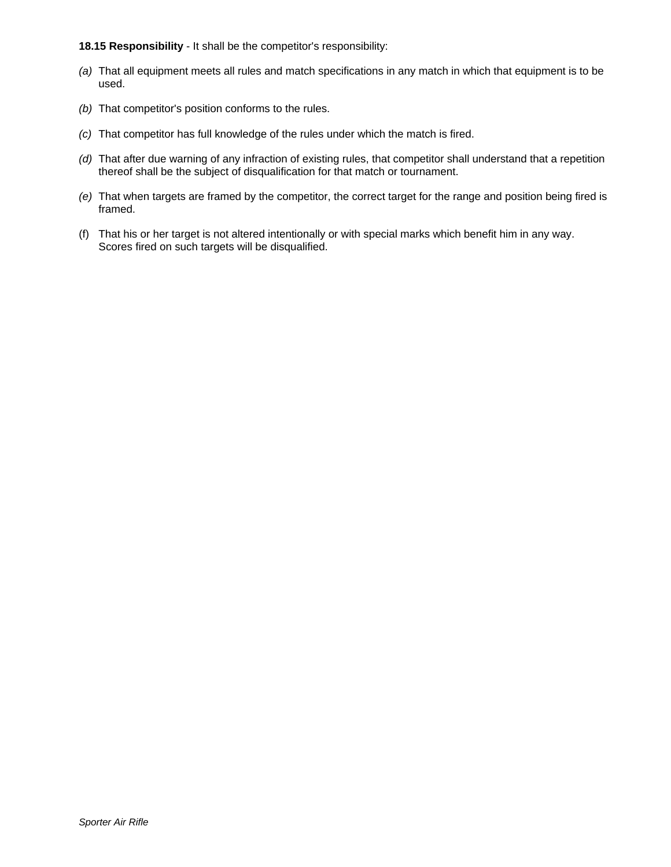- **18.15 Responsibility** It shall be the competitor's responsibility:
- *(a)* That all equipment meets all rules and match specifications in any match in which that equipment is to be used.
- *(b)* That competitor's position conforms to the rules.
- *(c)* That competitor has full knowledge of the rules under which the match is fired.
- *(d)* That after due warning of any infraction of existing rules, that competitor shall understand that a repetition thereof shall be the subject of disqualification for that match or tournament.
- *(e)* That when targets are framed by the competitor, the correct target for the range and position being fired is framed.
- (f) That his or her target is not altered intentionally or with special marks which benefit him in any way. Scores fired on such targets will be disqualified.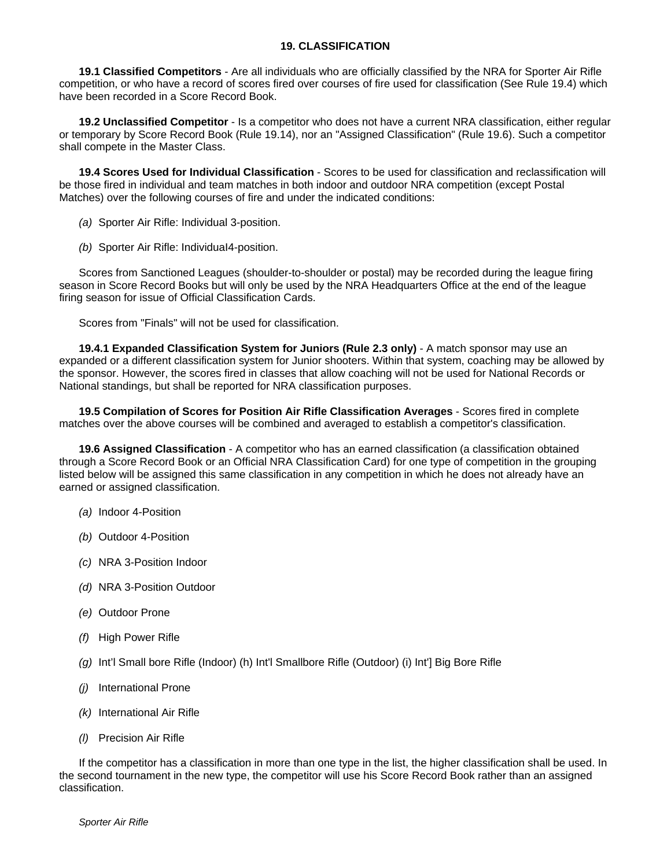#### **19. CLASSIFICATION**

<span id="page-37-0"></span>**19.1 Classified Competitors** - Are all individuals who are officially classified by the NRA for Sporter Air Rifle competition, or who have a record of scores fired over courses of fire used for classification (See Rule 19.4) which have been recorded in a Score Record Book.

**19.2 Unclassified Competitor** - Is a competitor who does not have a current NRA classification, either regular or temporary by Score Record Book (Rule 19.14), nor an "Assigned Classification" (Rule 19.6). Such a competitor shall compete in the Master Class.

**19.4 Scores Used for Individual Classification** - Scores to be used for classification and reclassification will be those fired in individual and team matches in both indoor and outdoor NRA competition (except Postal Matches) over the following courses of fire and under the indicated conditions:

- *(a)* Sporter Air Rifle: Individual 3-position.
- *(b)* Sporter Air Rifle: IndividuaI4-position.

Scores from Sanctioned Leagues (shoulder-to-shoulder or postal) may be recorded during the league firing season in Score Record Books but will only be used by the NRA Headquarters Office at the end of the league firing season for issue of Official Classification Cards.

Scores from "Finals" will not be used for classification.

**19.4.1 Expanded Classification System for Juniors (Rule 2.3 only)** - A match sponsor may use an expanded or a different classification system for Junior shooters. Within that system, coaching may be allowed by the sponsor. However, the scores fired in classes that allow coaching will not be used for National Records or National standings, but shall be reported for NRA classification purposes.

**19.5 Compilation of Scores for Position Air Rifle Classification Averages** - Scores fired in complete matches over the above courses will be combined and averaged to establish a competitor's classification.

**19.6 Assigned Classification** - A competitor who has an earned classification (a classification obtained through a Score Record Book or an Official NRA Classification Card) for one type of competition in the grouping listed below will be assigned this same classification in any competition in which he does not already have an earned or assigned classification.

- *(a)* Indoor 4-Position
- *(b)* Outdoor 4-Position
- *(c)* NRA 3-Position Indoor
- *(d)* NRA 3-Position Outdoor
- *(e)* Outdoor Prone
- *(f)* High Power Rifle
- *(g)* Int'l Small bore Rifle (Indoor) (h) Int'l Smallbore Rifle (Outdoor) (i) Int'] Big Bore Rifle
- *(j)* International Prone
- *(k)* International Air Rifle
- *(l)* Precision Air Rifle

If the competitor has a classification in more than one type in the list, the higher classification shall be used. In the second tournament in the new type, the competitor will use his Score Record Book rather than an assigned classification.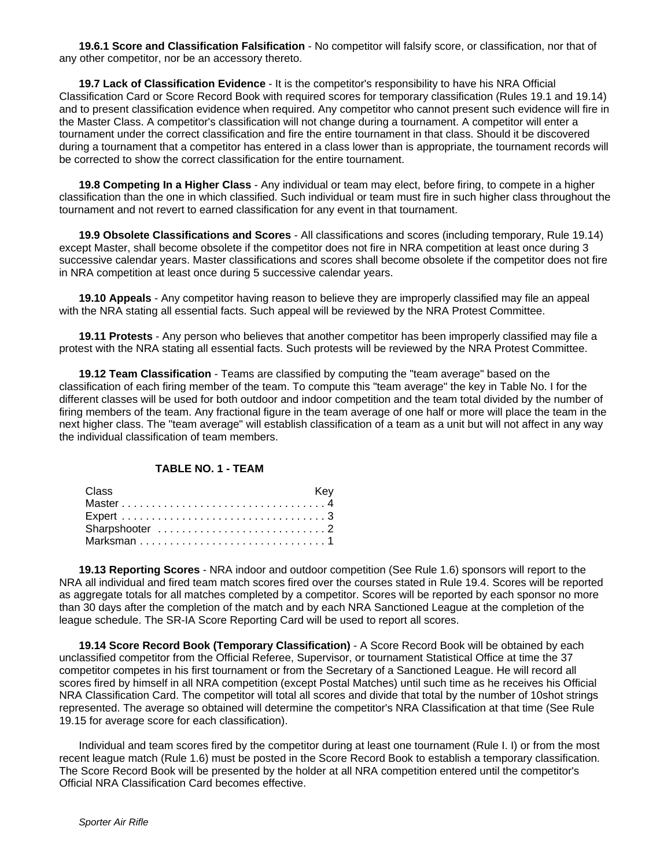**19.6.1 Score and Classification Falsification** - No competitor will falsify score, or classification, nor that of any other competitor, nor be an accessory thereto.

**19.7 Lack of Classification Evidence** - It is the competitor's responsibility to have his NRA Official Classification Card or Score Record Book with required scores for temporary classification (Rules 19.1 and 19.14) and to present classification evidence when required. Any competitor who cannot present such evidence will fire in the Master Class. A competitor's classification will not change during a tournament. A competitor will enter a tournament under the correct classification and fire the entire tournament in that class. Should it be discovered during a tournament that a competitor has entered in a class lower than is appropriate, the tournament records will be corrected to show the correct classification for the entire tournament.

**19.8 Competing In a Higher Class** - Any individual or team may elect, before firing, to compete in a higher classification than the one in which classified. Such individual or team must fire in such higher class throughout the tournament and not revert to earned classification for any event in that tournament.

**19.9 Obsolete Classifications and Scores** - All classifications and scores (including temporary, Rule 19.14) except Master, shall become obsolete if the competitor does not fire in NRA competition at least once during 3 successive calendar years. Master classifications and scores shall become obsolete if the competitor does not fire in NRA competition at least once during 5 successive calendar years.

**19.10 Appeals** - Any competitor having reason to believe they are improperly classified may file an appeal with the NRA stating all essential facts. Such appeal will be reviewed by the NRA Protest Committee.

**19.11 Protests** - Any person who believes that another competitor has been improperly classified may file a protest with the NRA stating all essential facts. Such protests will be reviewed by the NRA Protest Committee.

**19.12 Team Classification** - Teams are classified by computing the "team average" based on the classification of each firing member of the team. To compute this "team average" the key in Table No. I for the different classes will be used for both outdoor and indoor competition and the team total divided by the number of firing members of the team. Any fractional figure in the team average of one half or more will place the team in the next higher class. The "team average" will establish classification of a team as a unit but will not affect in any way the individual classification of team members.

# **TABLE NO. 1 - TEAM**

| Class | <b>Key</b> |
|-------|------------|
|       |            |
|       |            |
|       |            |
|       |            |

**19.13 Reporting Scores** - NRA indoor and outdoor competition (See Rule 1.6) sponsors will report to the NRA all individual and fired team match scores fired over the courses stated in Rule 19.4. Scores will be reported as aggregate totals for all matches completed by a competitor. Scores will be reported by each sponsor no more than 30 days after the completion of the match and by each NRA Sanctioned League at the completion of the league schedule. The SR-IA Score Reporting Card will be used to report all scores.

**19.14 Score Record Book (Temporary Classification)** - A Score Record Book will be obtained by each unclassified competitor from the Official Referee, Supervisor, or tournament Statistical Office at time the 37 competitor competes in his first tournament or from the Secretary of a Sanctioned League. He will record all scores fired by himself in all NRA competition (except Postal Matches) until such time as he receives his Official NRA Classification Card. The competitor will total all scores and divide that total by the number of 10shot strings represented. The average so obtained will determine the competitor's NRA Classification at that time (See Rule 19.15 for average score for each classification).

Individual and team scores fired by the competitor during at least one tournament (Rule I. I) or from the most recent league match (Rule 1.6) must be posted in the Score Record Book to establish a temporary classification. The Score Record Book will be presented by the holder at all NRA competition entered until the competitor's Official NRA Classification Card becomes effective.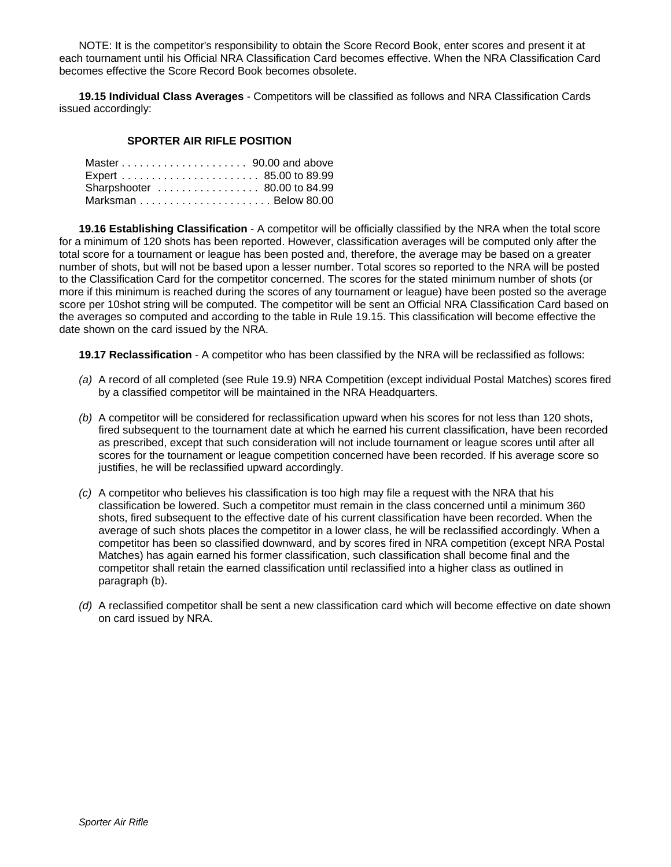NOTE: It is the competitor's responsibility to obtain the Score Record Book, enter scores and present it at each tournament until his Official NRA Classification Card becomes effective. When the NRA Classification Card becomes effective the Score Record Book becomes obsolete.

**19.15 Individual Class Averages** - Competitors will be classified as follows and NRA Classification Cards issued accordingly:

#### **SPORTER AIR RIFLE POSITION**

| Master $\ldots \ldots \ldots \ldots \ldots \ldots$ . 90.00 and above |  |
|----------------------------------------------------------------------|--|
|                                                                      |  |
| Sharpshooter  80.00 to 84.99                                         |  |
|                                                                      |  |

**19.16 Establishing Classification** - A competitor will be officially classified by the NRA when the total score for a minimum of 120 shots has been reported. However, classification averages will be computed only after the total score for a tournament or league has been posted and, therefore, the average may be based on a greater number of shots, but will not be based upon a lesser number. Total scores so reported to the NRA will be posted to the Classification Card for the competitor concerned. The scores for the stated minimum number of shots (or more if this minimum is reached during the scores of any tournament or league) have been posted so the average score per 10shot string will be computed. The competitor will be sent an Official NRA Classification Card based on the averages so computed and according to the table in Rule 19.15. This classification will become effective the date shown on the card issued by the NRA.

**19.17 Reclassification** - A competitor who has been classified by the NRA will be reclassified as follows:

- *(a)* A record of all completed (see Rule 19.9) NRA Competition (except individual Postal Matches) scores fired by a classified competitor will be maintained in the NRA Headquarters.
- *(b)* A competitor will be considered for reclassification upward when his scores for not less than 120 shots, fired subsequent to the tournament date at which he earned his current classification, have been recorded as prescribed, except that such consideration will not include tournament or league scores until after all scores for the tournament or league competition concerned have been recorded. If his average score so justifies, he will be reclassified upward accordingly.
- *(c)* A competitor who believes his classification is too high may file a request with the NRA that his classification be lowered. Such a competitor must remain in the class concerned until a minimum 360 shots, fired subsequent to the effective date of his current classification have been recorded. When the average of such shots places the competitor in a lower class, he will be reclassified accordingly. When a competitor has been so classified downward, and by scores fired in NRA competition (except NRA Postal Matches) has again earned his former classification, such classification shall become final and the competitor shall retain the earned classification until reclassified into a higher class as outlined in paragraph (b).
- *(d)* A reclassified competitor shall be sent a new classification card which will become effective on date shown on card issued by NRA.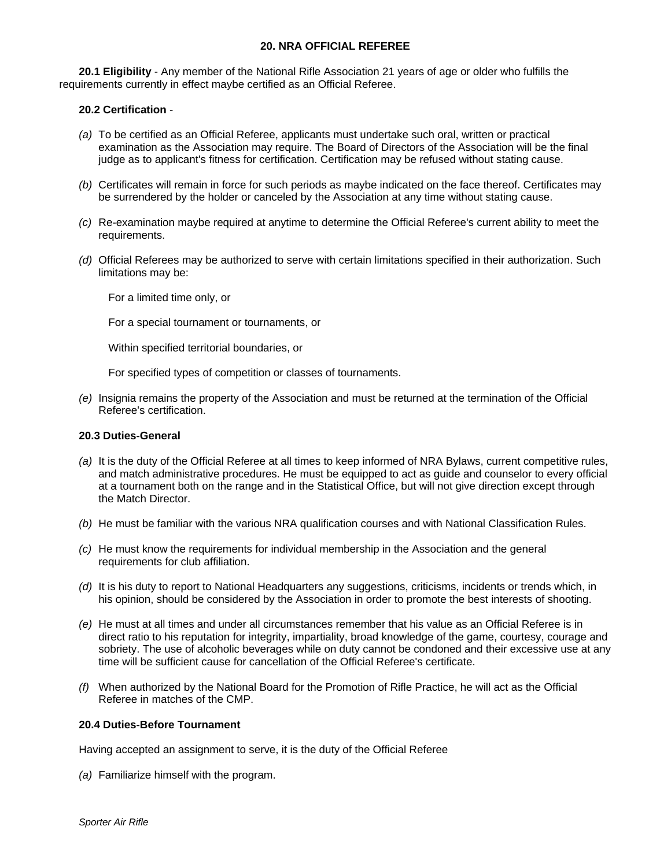### **20. NRA OFFICIAL REFEREE**

<span id="page-40-0"></span>**20.1 Eligibility** - Any member of the National Rifle Association 21 years of age or older who fulfills the requirements currently in effect maybe certified as an Official Referee.

#### **20.2 Certification** -

- *(a)* To be certified as an Official Referee, applicants must undertake such oral, written or practical examination as the Association may require. The Board of Directors of the Association will be the final judge as to applicant's fitness for certification. Certification may be refused without stating cause.
- *(b)* Certificates will remain in force for such periods as maybe indicated on the face thereof. Certificates may be surrendered by the holder or canceled by the Association at any time without stating cause.
- *(c)* Re-examination maybe required at anytime to determine the Official Referee's current ability to meet the requirements.
- *(d)* Official Referees may be authorized to serve with certain limitations specified in their authorization. Such limitations may be:

For a limited time only, or

For a special tournament or tournaments, or

Within specified territorial boundaries, or

For specified types of competition or classes of tournaments.

*(e)* Insignia remains the property of the Association and must be returned at the termination of the Official Referee's certification.

#### **20.3 Duties-General**

- *(a)* It is the duty of the Official Referee at all times to keep informed of NRA Bylaws, current competitive rules, and match administrative procedures. He must be equipped to act as guide and counselor to every official at a tournament both on the range and in the Statistical Office, but will not give direction except through the Match Director.
- *(b)* He must be familiar with the various NRA qualification courses and with National Classification Rules.
- *(c)* He must know the requirements for individual membership in the Association and the general requirements for club affiliation.
- *(d)* It is his duty to report to National Headquarters any suggestions, criticisms, incidents or trends which, in his opinion, should be considered by the Association in order to promote the best interests of shooting.
- *(e)* He must at all times and under all circumstances remember that his value as an Official Referee is in direct ratio to his reputation for integrity, impartiality, broad knowledge of the game, courtesy, courage and sobriety. The use of alcoholic beverages while on duty cannot be condoned and their excessive use at any time will be sufficient cause for cancellation of the Official Referee's certificate.
- *(f)* When authorized by the National Board for the Promotion of Rifle Practice, he will act as the Official Referee in matches of the CMP.

#### **20.4 Duties-Before Tournament**

Having accepted an assignment to serve, it is the duty of the Official Referee

*(a)* Familiarize himself with the program.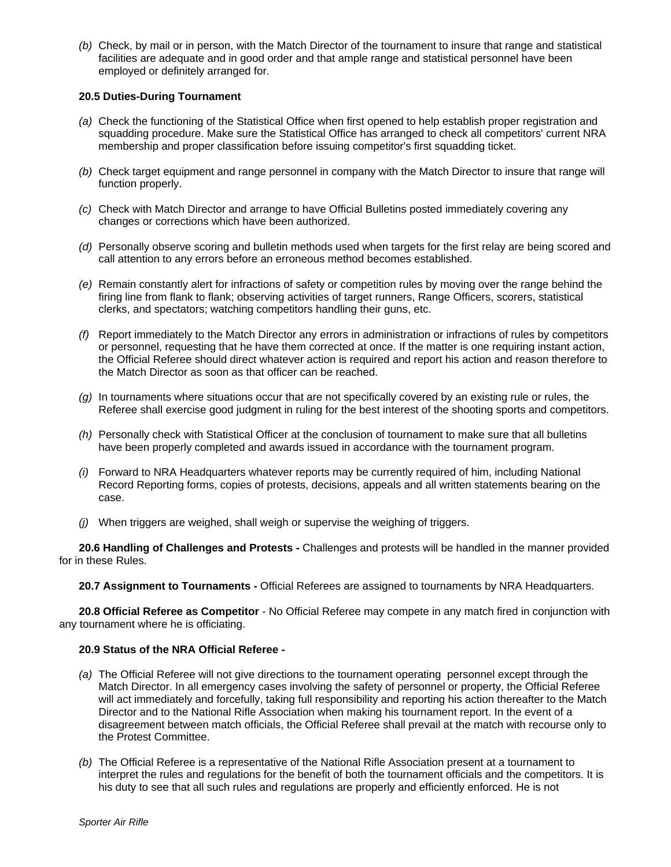*(b)* Check, by mail or in person, with the Match Director of the tournament to insure that range and statistical facilities are adequate and in good order and that ample range and statistical personnel have been employed or definitely arranged for.

# **20.5 Duties-During Tournament**

- *(a)* Check the functioning of the Statistical Office when first opened to help establish proper registration and squadding procedure. Make sure the Statistical Office has arranged to check all competitors' current NRA membership and proper classification before issuing competitor's first squadding ticket.
- *(b)* Check target equipment and range personnel in company with the Match Director to insure that range will function properly.
- *(c)* Check with Match Director and arrange to have Official Bulletins posted immediately covering any changes or corrections which have been authorized.
- *(d)* Personally observe scoring and bulletin methods used when targets for the first relay are being scored and call attention to any errors before an erroneous method becomes established.
- *(e)* Remain constantly alert for infractions of safety or competition rules by moving over the range behind the firing line from flank to flank; observing activities of target runners, Range Officers, scorers, statistical clerks, and spectators; watching competitors handling their guns, etc.
- *(f)* Report immediately to the Match Director any errors in administration or infractions of rules by competitors or personnel, requesting that he have them corrected at once. If the matter is one requiring instant action, the Official Referee should direct whatever action is required and report his action and reason therefore to the Match Director as soon as that officer can be reached.
- *(g)* In tournaments where situations occur that are not specifically covered by an existing rule or rules, the Referee shall exercise good judgment in ruling for the best interest of the shooting sports and competitors.
- *(h)* Personally check with Statistical Officer at the conclusion of tournament to make sure that all bulletins have been properly completed and awards issued in accordance with the tournament program.
- *(i)* Forward to NRA Headquarters whatever reports may be currently required of him, including National Record Reporting forms, copies of protests, decisions, appeals and all written statements bearing on the case.
- *(j)* When triggers are weighed, shall weigh or supervise the weighing of triggers.

**20.6 Handling of Challenges and Protests -** Challenges and protests will be handled in the manner provided for in these Rules.

**20.7 Assignment to Tournaments -** Official Referees are assigned to tournaments by NRA Headquarters.

**20.8 Official Referee as Competitor** - No Official Referee may compete in any match fired in conjunction with any tournament where he is officiating.

# **20.9 Status of the NRA Official Referee -**

- *(a)* The Official Referee will not give directions to the tournament operating personnel except through the Match Director. In all emergency cases involving the safety of personnel or property, the Official Referee will act immediately and forcefully, taking full responsibility and reporting his action thereafter to the Match Director and to the National Rifle Association when making his tournament report. In the event of a disagreement between match officials, the Official Referee shall prevail at the match with recourse only to the Protest Committee.
- *(b)* The Official Referee is a representative of the National Rifle Association present at a tournament to interpret the rules and regulations for the benefit of both the tournament officials and the competitors. It is his duty to see that all such rules and regulations are properly and efficiently enforced. He is not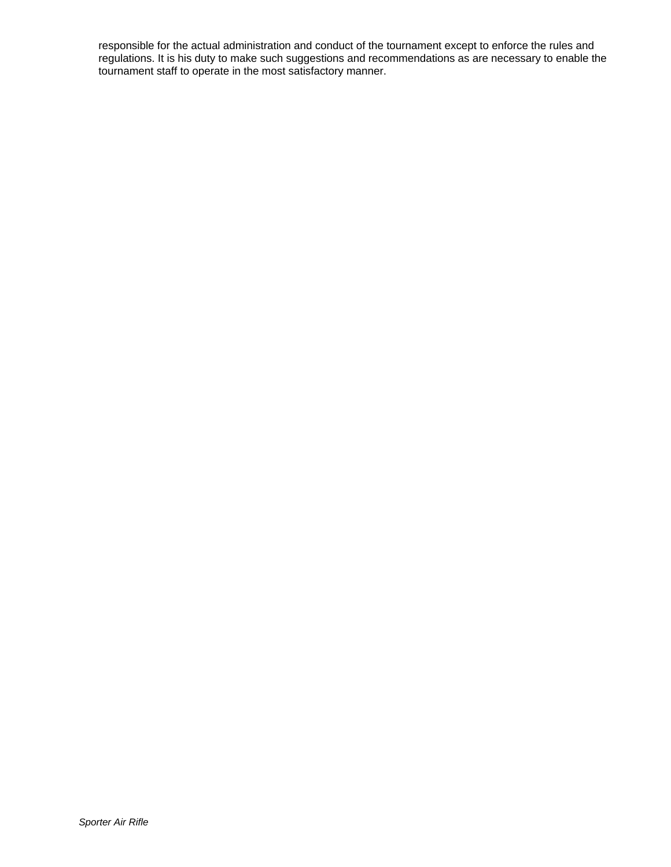responsible for the actual administration and conduct of the tournament except to enforce the rules and regulations. It is his duty to make such suggestions and recommendations as are necessary to enable the tournament staff to operate in the most satisfactory manner.